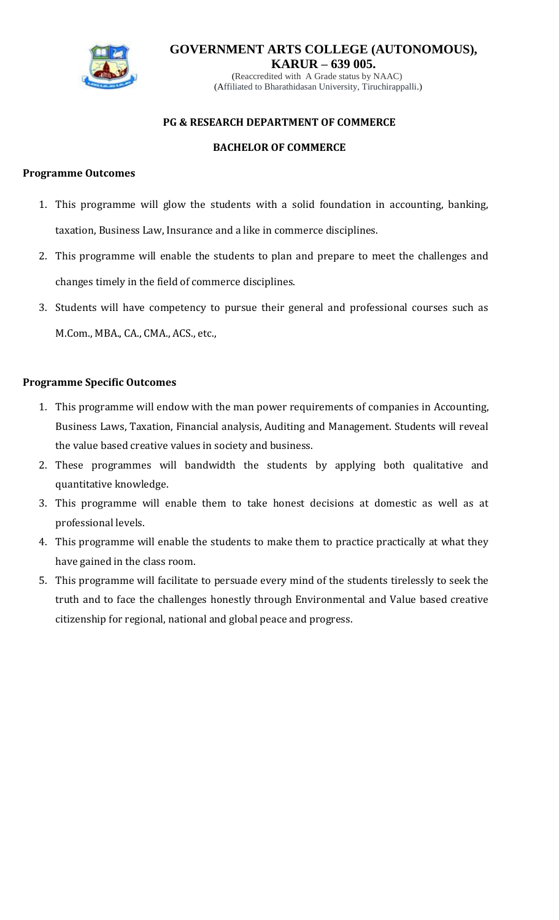

**KARUR – 639 005.** (Reaccredited with A Grade status by NAAC) (Affiliated to Bharathidasan University, Tiruchirappalli.)

#### **PG & RESEARCH DEPARTMENT OF COMMERCE**

#### **BACHELOR OF COMMERCE**

#### **Programme Outcomes**

- 1. This programme will glow the students with a solid foundation in accounting, banking, taxation, Business Law, Insurance and a like in commerce disciplines.
- 2. This programme will enable the students to plan and prepare to meet the challenges and changes timely in the field of commerce disciplines.
- 3. Students will have competency to pursue their general and professional courses such as M.Com., MBA., CA., CMA., ACS., etc.,

#### **Programme Specific Outcomes**

- 1. This programme will endow with the man power requirements of companies in Accounting, Business Laws, Taxation, Financial analysis, Auditing and Management. Students will reveal the value based creative values in society and business.
- 2. These programmes will bandwidth the students by applying both qualitative and quantitative knowledge.
- 3. This programme will enable them to take honest decisions at domestic as well as at professional levels.
- 4. This programme will enable the students to make them to practice practically at what they have gained in the class room.
- 5. This programme will facilitate to persuade every mind of the students tirelessly to seek the truth and to face the challenges honestly through Environmental and Value based creative citizenship for regional, national and global peace and progress.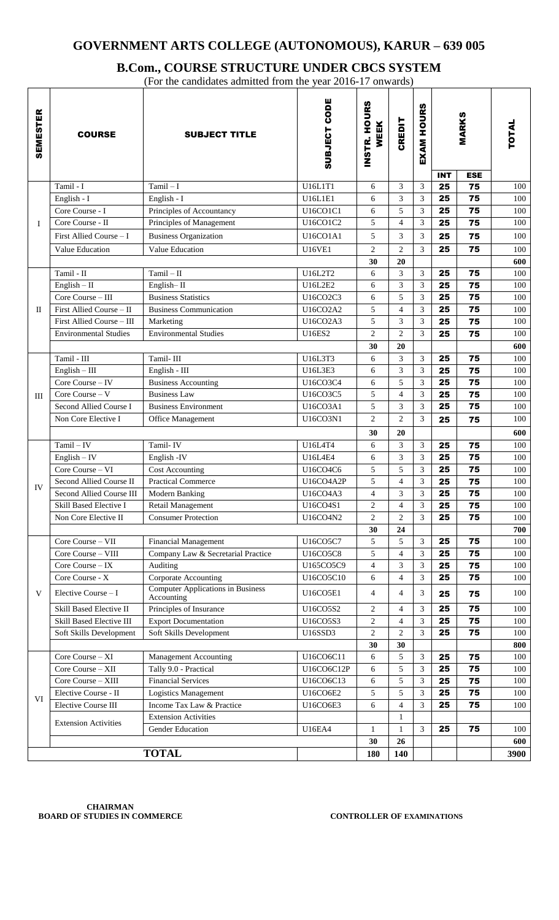# **B.Com., COURSE STRUCTURE UNDER CBCS SYSTEM**

(For the candidates admitted from the year 2016-17 onwards)

| <b>INT</b><br><b>ESE</b><br>25<br>75<br>Tamil - I<br>$Tamil - I$<br>U16L1T1<br>3<br>3<br>6<br>100<br>U16L1E1<br>3<br>3<br>25<br>75<br>English - I<br>English - I<br>6<br>100<br>3<br>5<br>75<br>Core Course - I<br>Principles of Accountancy<br>U16CO1C1<br>25<br>100<br>6<br>3<br>Core Course - II<br>5<br>$\overline{4}$<br>Principles of Management<br>U16CO1C2<br>25<br>75<br>100<br>$\bf{I}$<br>5<br>3<br>First Allied Course - I<br><b>Business Organization</b><br>3<br>100<br>U16CO1A1<br>75<br>25<br>$\overline{2}$<br>3<br>25<br>Value Education<br><b>U16VE1</b><br>2<br>75<br>100<br>Value Education<br>30<br>20<br>600<br>3<br>75<br>Tamil - II<br>$Tamil - II$<br>U16L2T2<br>6<br>3<br>25<br>3<br>3<br>$English - II$<br>U16L2E2<br>6<br>25<br>75<br>English-II<br>Core Course - III<br><b>Business Statistics</b><br>U16CO2C3<br>5<br>3<br>25<br>75<br>6<br>3<br>First Allied Course - II<br>75<br><b>Business Communication</b><br>U16CO2A2<br>5<br>$\overline{4}$<br>25<br>$\rm{II}$<br>5<br>3<br>3<br>First Allied Course - III<br>U16CO2A3<br>25<br>75<br>Marketing<br><b>Environmental Studies</b><br>$\overline{2}$<br>$\overline{2}$<br>3<br><b>Environmental Studies</b><br><b>U16ES2</b><br>25<br>75<br>20<br>30<br>Tamil - III<br>Tamil-III<br>U16L3T3<br>3<br>3<br>75<br>25<br>100<br>6<br>3<br>$English - III$<br>3<br>25<br>75<br>English - III<br>U16L3E3<br>6<br>100<br>5<br>3<br>Core Course - IV<br>U16CO3C4<br>6<br>25<br>75<br>100<br><b>Business Accounting</b><br>3<br>Core Course - V<br><b>Business Law</b><br>U16CO3C5<br>5<br>$\overline{4}$<br>25<br>75<br>100<br>III<br>75<br>Second Allied Course I<br>3<br>25<br><b>Business Environment</b><br>U16CO3A1<br>5<br>3<br>100<br>$\overline{2}$<br>3<br>U16CO3N1<br>2<br>100<br>Non Core Elective I<br>Office Management<br>25<br>75<br>30<br>20<br>600<br>$Tamil - IV$<br>Tamil-IV<br>U16L4T4<br>3<br>3<br>75<br>25<br>100<br>6<br>3<br>$English - IV$<br>English - IV<br><b>U16L4E4</b><br>3<br>25<br>75<br>100<br>6<br>Core Course - VI<br>5<br>5<br>3<br>U16CO4C6<br>25<br>75<br><b>Cost Accounting</b><br>100<br>3<br>5<br>25<br>75<br>Second Allied Course II<br><b>Practical Commerce</b><br>U16CO4A2P<br>$\overline{4}$<br>100<br>IV<br>3<br>$\overline{4}$<br>3<br>25<br>75<br>Second Allied Course III<br>U16CO4A3<br>Modern Banking<br>Skill Based Elective I<br>$\overline{c}$<br>3<br>U16CO4S1<br>$\overline{4}$<br>25<br>75<br>Retail Management<br>$\overline{2}$<br>3<br>25<br>75<br><b>Consumer Protection</b><br>U16CO4N2<br>2<br>Non Core Elective II<br>24<br>30<br>5<br>75<br>Core Course - VII<br><b>Financial Management</b><br>U16CO5C7<br>5<br>3<br>25<br>Company Law & Secretarial Practice<br>5<br>3<br>25<br>75<br>Core Course - VIII<br>U16CO5C8<br>$\overline{4}$<br>Core Course - IX<br>Auditing<br>U165CO5C9<br>3<br>25<br>75<br>4<br>3<br>100<br>Core Course - X<br>Corporate Accounting<br>3<br>U16CO5C10<br>$\overline{4}$<br>25<br>75<br>100<br>6<br><b>Computer Applications in Business</b><br>V<br>Elective Course - I<br>U16CO5E1<br>4<br>$\overline{4}$<br>3<br>25<br>75<br>Accounting<br>Skill Based Elective II<br>Principles of Insurance<br>$\overline{c}$<br>3<br>25<br>75<br>U16CO5S2<br>$\overline{4}$<br><b>Export Documentation</b><br>Skill Based Elective III<br>U16CO5S3<br>$\overline{c}$<br>3<br>75<br>$\overline{4}$<br>25<br>$\overline{2}$<br>$\overline{2}$<br>3<br>25<br>Soft Skills Development<br>U16SSD3<br>75<br>Soft Skills Development<br>30<br>30<br>75<br>3<br>Core Course - XI<br>U16CO6C11<br>5<br>25<br>Management Accounting<br>6<br>Core Course - XII<br>Tally 9.0 - Practical<br>5<br>3<br>U16CO6C12P<br>25<br>75<br>6<br>Core Course - XIII<br><b>Financial Services</b><br>U16CO6C13<br>5<br>3<br>25<br>75<br>100<br>6<br>Elective Course - II<br>Logistics Management<br>U16CO6E2<br>5<br>5<br>3<br>25<br>75<br>100<br>VI<br>Income Tax Law & Practice<br>6<br>3<br>Elective Course III<br>U16CO6E3<br>$\overline{4}$<br>25<br>75<br>100<br><b>Extension Activities</b><br>1<br><b>Extension Activities</b><br>3<br>Gender Education<br>25<br>75<br><b>U16EA4</b><br>100<br>1<br>1<br>30<br>26 | <b>SEMESTER</b> | <b>COURSE</b> | <b>SUBJECT TITLE</b> | SUBJECT CODE | INSTR. HOURS<br>WEEK | CREDIT | <b>EXAM HOURS</b> | <b>MARKS</b> | TOTAL |
|---------------------------------------------------------------------------------------------------------------------------------------------------------------------------------------------------------------------------------------------------------------------------------------------------------------------------------------------------------------------------------------------------------------------------------------------------------------------------------------------------------------------------------------------------------------------------------------------------------------------------------------------------------------------------------------------------------------------------------------------------------------------------------------------------------------------------------------------------------------------------------------------------------------------------------------------------------------------------------------------------------------------------------------------------------------------------------------------------------------------------------------------------------------------------------------------------------------------------------------------------------------------------------------------------------------------------------------------------------------------------------------------------------------------------------------------------------------------------------------------------------------------------------------------------------------------------------------------------------------------------------------------------------------------------------------------------------------------------------------------------------------------------------------------------------------------------------------------------------------------------------------------------------------------------------------------------------------------------------------------------------------------------------------------------------------------------------------------------------------------------------------------------------------------------------------------------------------------------------------------------------------------------------------------------------------------------------------------------------------------------------------------------------------------------------------------------------------------------------------------------------------------------------------------------------------------------------------------------------------------------------------------------------------------------------------------------------------------------------------------------------------------------------------------------------------------------------------------------------------------------------------------------------------------------------------------------------------------------------------------------------------------------------------------------------------------------------------------------------------------------------------------------------------------------------------------------------------------------------------------------------------------------------------------------------------------------------------------------------------------------------------------------------------------------------------------------------------------------------------------------------------------------------------------------------------------------------------------------------------------------------------------------------------------------------------------------------------------------------------------------------------------------------------------------------------------------------------------------------------------------------------------------------------------------------------------------------------------------------------------------------------------------------------------------------------------------------------------------------------------------------------------------------------------|-----------------|---------------|----------------------|--------------|----------------------|--------|-------------------|--------------|-------|
|                                                                                                                                                                                                                                                                                                                                                                                                                                                                                                                                                                                                                                                                                                                                                                                                                                                                                                                                                                                                                                                                                                                                                                                                                                                                                                                                                                                                                                                                                                                                                                                                                                                                                                                                                                                                                                                                                                                                                                                                                                                                                                                                                                                                                                                                                                                                                                                                                                                                                                                                                                                                                                                                                                                                                                                                                                                                                                                                                                                                                                                                                                                                                                                                                                                                                                                                                                                                                                                                                                                                                                                                                                                                                                                                                                                                                                                                                                                                                                                                                                                                                                                                                                     |                 |               |                      |              |                      |        |                   |              |       |
|                                                                                                                                                                                                                                                                                                                                                                                                                                                                                                                                                                                                                                                                                                                                                                                                                                                                                                                                                                                                                                                                                                                                                                                                                                                                                                                                                                                                                                                                                                                                                                                                                                                                                                                                                                                                                                                                                                                                                                                                                                                                                                                                                                                                                                                                                                                                                                                                                                                                                                                                                                                                                                                                                                                                                                                                                                                                                                                                                                                                                                                                                                                                                                                                                                                                                                                                                                                                                                                                                                                                                                                                                                                                                                                                                                                                                                                                                                                                                                                                                                                                                                                                                                     |                 |               |                      |              |                      |        |                   |              |       |
|                                                                                                                                                                                                                                                                                                                                                                                                                                                                                                                                                                                                                                                                                                                                                                                                                                                                                                                                                                                                                                                                                                                                                                                                                                                                                                                                                                                                                                                                                                                                                                                                                                                                                                                                                                                                                                                                                                                                                                                                                                                                                                                                                                                                                                                                                                                                                                                                                                                                                                                                                                                                                                                                                                                                                                                                                                                                                                                                                                                                                                                                                                                                                                                                                                                                                                                                                                                                                                                                                                                                                                                                                                                                                                                                                                                                                                                                                                                                                                                                                                                                                                                                                                     |                 |               |                      |              |                      |        |                   |              |       |
|                                                                                                                                                                                                                                                                                                                                                                                                                                                                                                                                                                                                                                                                                                                                                                                                                                                                                                                                                                                                                                                                                                                                                                                                                                                                                                                                                                                                                                                                                                                                                                                                                                                                                                                                                                                                                                                                                                                                                                                                                                                                                                                                                                                                                                                                                                                                                                                                                                                                                                                                                                                                                                                                                                                                                                                                                                                                                                                                                                                                                                                                                                                                                                                                                                                                                                                                                                                                                                                                                                                                                                                                                                                                                                                                                                                                                                                                                                                                                                                                                                                                                                                                                                     |                 |               |                      |              |                      |        |                   |              |       |
|                                                                                                                                                                                                                                                                                                                                                                                                                                                                                                                                                                                                                                                                                                                                                                                                                                                                                                                                                                                                                                                                                                                                                                                                                                                                                                                                                                                                                                                                                                                                                                                                                                                                                                                                                                                                                                                                                                                                                                                                                                                                                                                                                                                                                                                                                                                                                                                                                                                                                                                                                                                                                                                                                                                                                                                                                                                                                                                                                                                                                                                                                                                                                                                                                                                                                                                                                                                                                                                                                                                                                                                                                                                                                                                                                                                                                                                                                                                                                                                                                                                                                                                                                                     |                 |               |                      |              |                      |        |                   |              |       |
|                                                                                                                                                                                                                                                                                                                                                                                                                                                                                                                                                                                                                                                                                                                                                                                                                                                                                                                                                                                                                                                                                                                                                                                                                                                                                                                                                                                                                                                                                                                                                                                                                                                                                                                                                                                                                                                                                                                                                                                                                                                                                                                                                                                                                                                                                                                                                                                                                                                                                                                                                                                                                                                                                                                                                                                                                                                                                                                                                                                                                                                                                                                                                                                                                                                                                                                                                                                                                                                                                                                                                                                                                                                                                                                                                                                                                                                                                                                                                                                                                                                                                                                                                                     |                 |               |                      |              |                      |        |                   |              |       |
|                                                                                                                                                                                                                                                                                                                                                                                                                                                                                                                                                                                                                                                                                                                                                                                                                                                                                                                                                                                                                                                                                                                                                                                                                                                                                                                                                                                                                                                                                                                                                                                                                                                                                                                                                                                                                                                                                                                                                                                                                                                                                                                                                                                                                                                                                                                                                                                                                                                                                                                                                                                                                                                                                                                                                                                                                                                                                                                                                                                                                                                                                                                                                                                                                                                                                                                                                                                                                                                                                                                                                                                                                                                                                                                                                                                                                                                                                                                                                                                                                                                                                                                                                                     |                 |               |                      |              |                      |        |                   |              |       |
|                                                                                                                                                                                                                                                                                                                                                                                                                                                                                                                                                                                                                                                                                                                                                                                                                                                                                                                                                                                                                                                                                                                                                                                                                                                                                                                                                                                                                                                                                                                                                                                                                                                                                                                                                                                                                                                                                                                                                                                                                                                                                                                                                                                                                                                                                                                                                                                                                                                                                                                                                                                                                                                                                                                                                                                                                                                                                                                                                                                                                                                                                                                                                                                                                                                                                                                                                                                                                                                                                                                                                                                                                                                                                                                                                                                                                                                                                                                                                                                                                                                                                                                                                                     |                 |               |                      |              |                      |        |                   |              | 100   |
|                                                                                                                                                                                                                                                                                                                                                                                                                                                                                                                                                                                                                                                                                                                                                                                                                                                                                                                                                                                                                                                                                                                                                                                                                                                                                                                                                                                                                                                                                                                                                                                                                                                                                                                                                                                                                                                                                                                                                                                                                                                                                                                                                                                                                                                                                                                                                                                                                                                                                                                                                                                                                                                                                                                                                                                                                                                                                                                                                                                                                                                                                                                                                                                                                                                                                                                                                                                                                                                                                                                                                                                                                                                                                                                                                                                                                                                                                                                                                                                                                                                                                                                                                                     |                 |               |                      |              |                      |        |                   |              | 100   |
|                                                                                                                                                                                                                                                                                                                                                                                                                                                                                                                                                                                                                                                                                                                                                                                                                                                                                                                                                                                                                                                                                                                                                                                                                                                                                                                                                                                                                                                                                                                                                                                                                                                                                                                                                                                                                                                                                                                                                                                                                                                                                                                                                                                                                                                                                                                                                                                                                                                                                                                                                                                                                                                                                                                                                                                                                                                                                                                                                                                                                                                                                                                                                                                                                                                                                                                                                                                                                                                                                                                                                                                                                                                                                                                                                                                                                                                                                                                                                                                                                                                                                                                                                                     |                 |               |                      |              |                      |        |                   |              | 100   |
|                                                                                                                                                                                                                                                                                                                                                                                                                                                                                                                                                                                                                                                                                                                                                                                                                                                                                                                                                                                                                                                                                                                                                                                                                                                                                                                                                                                                                                                                                                                                                                                                                                                                                                                                                                                                                                                                                                                                                                                                                                                                                                                                                                                                                                                                                                                                                                                                                                                                                                                                                                                                                                                                                                                                                                                                                                                                                                                                                                                                                                                                                                                                                                                                                                                                                                                                                                                                                                                                                                                                                                                                                                                                                                                                                                                                                                                                                                                                                                                                                                                                                                                                                                     |                 |               |                      |              |                      |        |                   |              | 100   |
|                                                                                                                                                                                                                                                                                                                                                                                                                                                                                                                                                                                                                                                                                                                                                                                                                                                                                                                                                                                                                                                                                                                                                                                                                                                                                                                                                                                                                                                                                                                                                                                                                                                                                                                                                                                                                                                                                                                                                                                                                                                                                                                                                                                                                                                                                                                                                                                                                                                                                                                                                                                                                                                                                                                                                                                                                                                                                                                                                                                                                                                                                                                                                                                                                                                                                                                                                                                                                                                                                                                                                                                                                                                                                                                                                                                                                                                                                                                                                                                                                                                                                                                                                                     |                 |               |                      |              |                      |        |                   |              | 100   |
|                                                                                                                                                                                                                                                                                                                                                                                                                                                                                                                                                                                                                                                                                                                                                                                                                                                                                                                                                                                                                                                                                                                                                                                                                                                                                                                                                                                                                                                                                                                                                                                                                                                                                                                                                                                                                                                                                                                                                                                                                                                                                                                                                                                                                                                                                                                                                                                                                                                                                                                                                                                                                                                                                                                                                                                                                                                                                                                                                                                                                                                                                                                                                                                                                                                                                                                                                                                                                                                                                                                                                                                                                                                                                                                                                                                                                                                                                                                                                                                                                                                                                                                                                                     |                 |               |                      |              |                      |        |                   |              | 100   |
|                                                                                                                                                                                                                                                                                                                                                                                                                                                                                                                                                                                                                                                                                                                                                                                                                                                                                                                                                                                                                                                                                                                                                                                                                                                                                                                                                                                                                                                                                                                                                                                                                                                                                                                                                                                                                                                                                                                                                                                                                                                                                                                                                                                                                                                                                                                                                                                                                                                                                                                                                                                                                                                                                                                                                                                                                                                                                                                                                                                                                                                                                                                                                                                                                                                                                                                                                                                                                                                                                                                                                                                                                                                                                                                                                                                                                                                                                                                                                                                                                                                                                                                                                                     |                 |               |                      |              |                      |        |                   |              | 600   |
|                                                                                                                                                                                                                                                                                                                                                                                                                                                                                                                                                                                                                                                                                                                                                                                                                                                                                                                                                                                                                                                                                                                                                                                                                                                                                                                                                                                                                                                                                                                                                                                                                                                                                                                                                                                                                                                                                                                                                                                                                                                                                                                                                                                                                                                                                                                                                                                                                                                                                                                                                                                                                                                                                                                                                                                                                                                                                                                                                                                                                                                                                                                                                                                                                                                                                                                                                                                                                                                                                                                                                                                                                                                                                                                                                                                                                                                                                                                                                                                                                                                                                                                                                                     |                 |               |                      |              |                      |        |                   |              |       |
|                                                                                                                                                                                                                                                                                                                                                                                                                                                                                                                                                                                                                                                                                                                                                                                                                                                                                                                                                                                                                                                                                                                                                                                                                                                                                                                                                                                                                                                                                                                                                                                                                                                                                                                                                                                                                                                                                                                                                                                                                                                                                                                                                                                                                                                                                                                                                                                                                                                                                                                                                                                                                                                                                                                                                                                                                                                                                                                                                                                                                                                                                                                                                                                                                                                                                                                                                                                                                                                                                                                                                                                                                                                                                                                                                                                                                                                                                                                                                                                                                                                                                                                                                                     |                 |               |                      |              |                      |        |                   |              |       |
|                                                                                                                                                                                                                                                                                                                                                                                                                                                                                                                                                                                                                                                                                                                                                                                                                                                                                                                                                                                                                                                                                                                                                                                                                                                                                                                                                                                                                                                                                                                                                                                                                                                                                                                                                                                                                                                                                                                                                                                                                                                                                                                                                                                                                                                                                                                                                                                                                                                                                                                                                                                                                                                                                                                                                                                                                                                                                                                                                                                                                                                                                                                                                                                                                                                                                                                                                                                                                                                                                                                                                                                                                                                                                                                                                                                                                                                                                                                                                                                                                                                                                                                                                                     |                 |               |                      |              |                      |        |                   |              |       |
|                                                                                                                                                                                                                                                                                                                                                                                                                                                                                                                                                                                                                                                                                                                                                                                                                                                                                                                                                                                                                                                                                                                                                                                                                                                                                                                                                                                                                                                                                                                                                                                                                                                                                                                                                                                                                                                                                                                                                                                                                                                                                                                                                                                                                                                                                                                                                                                                                                                                                                                                                                                                                                                                                                                                                                                                                                                                                                                                                                                                                                                                                                                                                                                                                                                                                                                                                                                                                                                                                                                                                                                                                                                                                                                                                                                                                                                                                                                                                                                                                                                                                                                                                                     |                 |               |                      |              |                      |        |                   |              |       |
|                                                                                                                                                                                                                                                                                                                                                                                                                                                                                                                                                                                                                                                                                                                                                                                                                                                                                                                                                                                                                                                                                                                                                                                                                                                                                                                                                                                                                                                                                                                                                                                                                                                                                                                                                                                                                                                                                                                                                                                                                                                                                                                                                                                                                                                                                                                                                                                                                                                                                                                                                                                                                                                                                                                                                                                                                                                                                                                                                                                                                                                                                                                                                                                                                                                                                                                                                                                                                                                                                                                                                                                                                                                                                                                                                                                                                                                                                                                                                                                                                                                                                                                                                                     |                 |               |                      |              |                      |        |                   |              |       |
|                                                                                                                                                                                                                                                                                                                                                                                                                                                                                                                                                                                                                                                                                                                                                                                                                                                                                                                                                                                                                                                                                                                                                                                                                                                                                                                                                                                                                                                                                                                                                                                                                                                                                                                                                                                                                                                                                                                                                                                                                                                                                                                                                                                                                                                                                                                                                                                                                                                                                                                                                                                                                                                                                                                                                                                                                                                                                                                                                                                                                                                                                                                                                                                                                                                                                                                                                                                                                                                                                                                                                                                                                                                                                                                                                                                                                                                                                                                                                                                                                                                                                                                                                                     |                 |               |                      |              |                      |        |                   |              |       |
|                                                                                                                                                                                                                                                                                                                                                                                                                                                                                                                                                                                                                                                                                                                                                                                                                                                                                                                                                                                                                                                                                                                                                                                                                                                                                                                                                                                                                                                                                                                                                                                                                                                                                                                                                                                                                                                                                                                                                                                                                                                                                                                                                                                                                                                                                                                                                                                                                                                                                                                                                                                                                                                                                                                                                                                                                                                                                                                                                                                                                                                                                                                                                                                                                                                                                                                                                                                                                                                                                                                                                                                                                                                                                                                                                                                                                                                                                                                                                                                                                                                                                                                                                                     |                 |               |                      |              |                      |        |                   |              |       |
|                                                                                                                                                                                                                                                                                                                                                                                                                                                                                                                                                                                                                                                                                                                                                                                                                                                                                                                                                                                                                                                                                                                                                                                                                                                                                                                                                                                                                                                                                                                                                                                                                                                                                                                                                                                                                                                                                                                                                                                                                                                                                                                                                                                                                                                                                                                                                                                                                                                                                                                                                                                                                                                                                                                                                                                                                                                                                                                                                                                                                                                                                                                                                                                                                                                                                                                                                                                                                                                                                                                                                                                                                                                                                                                                                                                                                                                                                                                                                                                                                                                                                                                                                                     |                 |               |                      |              |                      |        |                   |              |       |
|                                                                                                                                                                                                                                                                                                                                                                                                                                                                                                                                                                                                                                                                                                                                                                                                                                                                                                                                                                                                                                                                                                                                                                                                                                                                                                                                                                                                                                                                                                                                                                                                                                                                                                                                                                                                                                                                                                                                                                                                                                                                                                                                                                                                                                                                                                                                                                                                                                                                                                                                                                                                                                                                                                                                                                                                                                                                                                                                                                                                                                                                                                                                                                                                                                                                                                                                                                                                                                                                                                                                                                                                                                                                                                                                                                                                                                                                                                                                                                                                                                                                                                                                                                     |                 |               |                      |              |                      |        |                   |              |       |
|                                                                                                                                                                                                                                                                                                                                                                                                                                                                                                                                                                                                                                                                                                                                                                                                                                                                                                                                                                                                                                                                                                                                                                                                                                                                                                                                                                                                                                                                                                                                                                                                                                                                                                                                                                                                                                                                                                                                                                                                                                                                                                                                                                                                                                                                                                                                                                                                                                                                                                                                                                                                                                                                                                                                                                                                                                                                                                                                                                                                                                                                                                                                                                                                                                                                                                                                                                                                                                                                                                                                                                                                                                                                                                                                                                                                                                                                                                                                                                                                                                                                                                                                                                     |                 |               |                      |              |                      |        |                   |              |       |
|                                                                                                                                                                                                                                                                                                                                                                                                                                                                                                                                                                                                                                                                                                                                                                                                                                                                                                                                                                                                                                                                                                                                                                                                                                                                                                                                                                                                                                                                                                                                                                                                                                                                                                                                                                                                                                                                                                                                                                                                                                                                                                                                                                                                                                                                                                                                                                                                                                                                                                                                                                                                                                                                                                                                                                                                                                                                                                                                                                                                                                                                                                                                                                                                                                                                                                                                                                                                                                                                                                                                                                                                                                                                                                                                                                                                                                                                                                                                                                                                                                                                                                                                                                     |                 |               |                      |              |                      |        |                   |              | 100   |
|                                                                                                                                                                                                                                                                                                                                                                                                                                                                                                                                                                                                                                                                                                                                                                                                                                                                                                                                                                                                                                                                                                                                                                                                                                                                                                                                                                                                                                                                                                                                                                                                                                                                                                                                                                                                                                                                                                                                                                                                                                                                                                                                                                                                                                                                                                                                                                                                                                                                                                                                                                                                                                                                                                                                                                                                                                                                                                                                                                                                                                                                                                                                                                                                                                                                                                                                                                                                                                                                                                                                                                                                                                                                                                                                                                                                                                                                                                                                                                                                                                                                                                                                                                     |                 |               |                      |              |                      |        |                   |              | 100   |
|                                                                                                                                                                                                                                                                                                                                                                                                                                                                                                                                                                                                                                                                                                                                                                                                                                                                                                                                                                                                                                                                                                                                                                                                                                                                                                                                                                                                                                                                                                                                                                                                                                                                                                                                                                                                                                                                                                                                                                                                                                                                                                                                                                                                                                                                                                                                                                                                                                                                                                                                                                                                                                                                                                                                                                                                                                                                                                                                                                                                                                                                                                                                                                                                                                                                                                                                                                                                                                                                                                                                                                                                                                                                                                                                                                                                                                                                                                                                                                                                                                                                                                                                                                     |                 |               |                      |              |                      |        |                   |              | 100   |
|                                                                                                                                                                                                                                                                                                                                                                                                                                                                                                                                                                                                                                                                                                                                                                                                                                                                                                                                                                                                                                                                                                                                                                                                                                                                                                                                                                                                                                                                                                                                                                                                                                                                                                                                                                                                                                                                                                                                                                                                                                                                                                                                                                                                                                                                                                                                                                                                                                                                                                                                                                                                                                                                                                                                                                                                                                                                                                                                                                                                                                                                                                                                                                                                                                                                                                                                                                                                                                                                                                                                                                                                                                                                                                                                                                                                                                                                                                                                                                                                                                                                                                                                                                     |                 |               |                      |              |                      |        |                   |              | 700   |
|                                                                                                                                                                                                                                                                                                                                                                                                                                                                                                                                                                                                                                                                                                                                                                                                                                                                                                                                                                                                                                                                                                                                                                                                                                                                                                                                                                                                                                                                                                                                                                                                                                                                                                                                                                                                                                                                                                                                                                                                                                                                                                                                                                                                                                                                                                                                                                                                                                                                                                                                                                                                                                                                                                                                                                                                                                                                                                                                                                                                                                                                                                                                                                                                                                                                                                                                                                                                                                                                                                                                                                                                                                                                                                                                                                                                                                                                                                                                                                                                                                                                                                                                                                     |                 |               |                      |              |                      |        |                   |              | 100   |
|                                                                                                                                                                                                                                                                                                                                                                                                                                                                                                                                                                                                                                                                                                                                                                                                                                                                                                                                                                                                                                                                                                                                                                                                                                                                                                                                                                                                                                                                                                                                                                                                                                                                                                                                                                                                                                                                                                                                                                                                                                                                                                                                                                                                                                                                                                                                                                                                                                                                                                                                                                                                                                                                                                                                                                                                                                                                                                                                                                                                                                                                                                                                                                                                                                                                                                                                                                                                                                                                                                                                                                                                                                                                                                                                                                                                                                                                                                                                                                                                                                                                                                                                                                     |                 |               |                      |              |                      |        |                   |              | 100   |
|                                                                                                                                                                                                                                                                                                                                                                                                                                                                                                                                                                                                                                                                                                                                                                                                                                                                                                                                                                                                                                                                                                                                                                                                                                                                                                                                                                                                                                                                                                                                                                                                                                                                                                                                                                                                                                                                                                                                                                                                                                                                                                                                                                                                                                                                                                                                                                                                                                                                                                                                                                                                                                                                                                                                                                                                                                                                                                                                                                                                                                                                                                                                                                                                                                                                                                                                                                                                                                                                                                                                                                                                                                                                                                                                                                                                                                                                                                                                                                                                                                                                                                                                                                     |                 |               |                      |              |                      |        |                   |              |       |
|                                                                                                                                                                                                                                                                                                                                                                                                                                                                                                                                                                                                                                                                                                                                                                                                                                                                                                                                                                                                                                                                                                                                                                                                                                                                                                                                                                                                                                                                                                                                                                                                                                                                                                                                                                                                                                                                                                                                                                                                                                                                                                                                                                                                                                                                                                                                                                                                                                                                                                                                                                                                                                                                                                                                                                                                                                                                                                                                                                                                                                                                                                                                                                                                                                                                                                                                                                                                                                                                                                                                                                                                                                                                                                                                                                                                                                                                                                                                                                                                                                                                                                                                                                     |                 |               |                      |              |                      |        |                   |              |       |
|                                                                                                                                                                                                                                                                                                                                                                                                                                                                                                                                                                                                                                                                                                                                                                                                                                                                                                                                                                                                                                                                                                                                                                                                                                                                                                                                                                                                                                                                                                                                                                                                                                                                                                                                                                                                                                                                                                                                                                                                                                                                                                                                                                                                                                                                                                                                                                                                                                                                                                                                                                                                                                                                                                                                                                                                                                                                                                                                                                                                                                                                                                                                                                                                                                                                                                                                                                                                                                                                                                                                                                                                                                                                                                                                                                                                                                                                                                                                                                                                                                                                                                                                                                     |                 |               |                      |              |                      |        |                   |              | 100   |
|                                                                                                                                                                                                                                                                                                                                                                                                                                                                                                                                                                                                                                                                                                                                                                                                                                                                                                                                                                                                                                                                                                                                                                                                                                                                                                                                                                                                                                                                                                                                                                                                                                                                                                                                                                                                                                                                                                                                                                                                                                                                                                                                                                                                                                                                                                                                                                                                                                                                                                                                                                                                                                                                                                                                                                                                                                                                                                                                                                                                                                                                                                                                                                                                                                                                                                                                                                                                                                                                                                                                                                                                                                                                                                                                                                                                                                                                                                                                                                                                                                                                                                                                                                     |                 |               |                      |              |                      |        |                   |              | 100   |
|                                                                                                                                                                                                                                                                                                                                                                                                                                                                                                                                                                                                                                                                                                                                                                                                                                                                                                                                                                                                                                                                                                                                                                                                                                                                                                                                                                                                                                                                                                                                                                                                                                                                                                                                                                                                                                                                                                                                                                                                                                                                                                                                                                                                                                                                                                                                                                                                                                                                                                                                                                                                                                                                                                                                                                                                                                                                                                                                                                                                                                                                                                                                                                                                                                                                                                                                                                                                                                                                                                                                                                                                                                                                                                                                                                                                                                                                                                                                                                                                                                                                                                                                                                     |                 |               |                      |              |                      |        |                   |              | 100   |
|                                                                                                                                                                                                                                                                                                                                                                                                                                                                                                                                                                                                                                                                                                                                                                                                                                                                                                                                                                                                                                                                                                                                                                                                                                                                                                                                                                                                                                                                                                                                                                                                                                                                                                                                                                                                                                                                                                                                                                                                                                                                                                                                                                                                                                                                                                                                                                                                                                                                                                                                                                                                                                                                                                                                                                                                                                                                                                                                                                                                                                                                                                                                                                                                                                                                                                                                                                                                                                                                                                                                                                                                                                                                                                                                                                                                                                                                                                                                                                                                                                                                                                                                                                     |                 |               |                      |              |                      |        |                   |              | 100   |
|                                                                                                                                                                                                                                                                                                                                                                                                                                                                                                                                                                                                                                                                                                                                                                                                                                                                                                                                                                                                                                                                                                                                                                                                                                                                                                                                                                                                                                                                                                                                                                                                                                                                                                                                                                                                                                                                                                                                                                                                                                                                                                                                                                                                                                                                                                                                                                                                                                                                                                                                                                                                                                                                                                                                                                                                                                                                                                                                                                                                                                                                                                                                                                                                                                                                                                                                                                                                                                                                                                                                                                                                                                                                                                                                                                                                                                                                                                                                                                                                                                                                                                                                                                     |                 |               |                      |              |                      |        |                   |              | 800   |
|                                                                                                                                                                                                                                                                                                                                                                                                                                                                                                                                                                                                                                                                                                                                                                                                                                                                                                                                                                                                                                                                                                                                                                                                                                                                                                                                                                                                                                                                                                                                                                                                                                                                                                                                                                                                                                                                                                                                                                                                                                                                                                                                                                                                                                                                                                                                                                                                                                                                                                                                                                                                                                                                                                                                                                                                                                                                                                                                                                                                                                                                                                                                                                                                                                                                                                                                                                                                                                                                                                                                                                                                                                                                                                                                                                                                                                                                                                                                                                                                                                                                                                                                                                     |                 |               |                      |              |                      |        |                   |              | 100   |
|                                                                                                                                                                                                                                                                                                                                                                                                                                                                                                                                                                                                                                                                                                                                                                                                                                                                                                                                                                                                                                                                                                                                                                                                                                                                                                                                                                                                                                                                                                                                                                                                                                                                                                                                                                                                                                                                                                                                                                                                                                                                                                                                                                                                                                                                                                                                                                                                                                                                                                                                                                                                                                                                                                                                                                                                                                                                                                                                                                                                                                                                                                                                                                                                                                                                                                                                                                                                                                                                                                                                                                                                                                                                                                                                                                                                                                                                                                                                                                                                                                                                                                                                                                     |                 |               |                      |              |                      |        |                   |              | 100   |
|                                                                                                                                                                                                                                                                                                                                                                                                                                                                                                                                                                                                                                                                                                                                                                                                                                                                                                                                                                                                                                                                                                                                                                                                                                                                                                                                                                                                                                                                                                                                                                                                                                                                                                                                                                                                                                                                                                                                                                                                                                                                                                                                                                                                                                                                                                                                                                                                                                                                                                                                                                                                                                                                                                                                                                                                                                                                                                                                                                                                                                                                                                                                                                                                                                                                                                                                                                                                                                                                                                                                                                                                                                                                                                                                                                                                                                                                                                                                                                                                                                                                                                                                                                     |                 |               |                      |              |                      |        |                   |              |       |
|                                                                                                                                                                                                                                                                                                                                                                                                                                                                                                                                                                                                                                                                                                                                                                                                                                                                                                                                                                                                                                                                                                                                                                                                                                                                                                                                                                                                                                                                                                                                                                                                                                                                                                                                                                                                                                                                                                                                                                                                                                                                                                                                                                                                                                                                                                                                                                                                                                                                                                                                                                                                                                                                                                                                                                                                                                                                                                                                                                                                                                                                                                                                                                                                                                                                                                                                                                                                                                                                                                                                                                                                                                                                                                                                                                                                                                                                                                                                                                                                                                                                                                                                                                     |                 |               |                      |              |                      |        |                   |              |       |
|                                                                                                                                                                                                                                                                                                                                                                                                                                                                                                                                                                                                                                                                                                                                                                                                                                                                                                                                                                                                                                                                                                                                                                                                                                                                                                                                                                                                                                                                                                                                                                                                                                                                                                                                                                                                                                                                                                                                                                                                                                                                                                                                                                                                                                                                                                                                                                                                                                                                                                                                                                                                                                                                                                                                                                                                                                                                                                                                                                                                                                                                                                                                                                                                                                                                                                                                                                                                                                                                                                                                                                                                                                                                                                                                                                                                                                                                                                                                                                                                                                                                                                                                                                     |                 |               |                      |              |                      |        |                   |              |       |
|                                                                                                                                                                                                                                                                                                                                                                                                                                                                                                                                                                                                                                                                                                                                                                                                                                                                                                                                                                                                                                                                                                                                                                                                                                                                                                                                                                                                                                                                                                                                                                                                                                                                                                                                                                                                                                                                                                                                                                                                                                                                                                                                                                                                                                                                                                                                                                                                                                                                                                                                                                                                                                                                                                                                                                                                                                                                                                                                                                                                                                                                                                                                                                                                                                                                                                                                                                                                                                                                                                                                                                                                                                                                                                                                                                                                                                                                                                                                                                                                                                                                                                                                                                     |                 |               |                      |              |                      |        |                   |              |       |
|                                                                                                                                                                                                                                                                                                                                                                                                                                                                                                                                                                                                                                                                                                                                                                                                                                                                                                                                                                                                                                                                                                                                                                                                                                                                                                                                                                                                                                                                                                                                                                                                                                                                                                                                                                                                                                                                                                                                                                                                                                                                                                                                                                                                                                                                                                                                                                                                                                                                                                                                                                                                                                                                                                                                                                                                                                                                                                                                                                                                                                                                                                                                                                                                                                                                                                                                                                                                                                                                                                                                                                                                                                                                                                                                                                                                                                                                                                                                                                                                                                                                                                                                                                     |                 |               |                      |              |                      |        |                   | 600          |       |
|                                                                                                                                                                                                                                                                                                                                                                                                                                                                                                                                                                                                                                                                                                                                                                                                                                                                                                                                                                                                                                                                                                                                                                                                                                                                                                                                                                                                                                                                                                                                                                                                                                                                                                                                                                                                                                                                                                                                                                                                                                                                                                                                                                                                                                                                                                                                                                                                                                                                                                                                                                                                                                                                                                                                                                                                                                                                                                                                                                                                                                                                                                                                                                                                                                                                                                                                                                                                                                                                                                                                                                                                                                                                                                                                                                                                                                                                                                                                                                                                                                                                                                                                                                     | <b>TOTAL</b>    |               |                      | 180          | 140                  |        |                   | 3900         |       |

**CHAIRMAN BOARD OF STUDIES IN COMMERCE CONTROLLER OF EXAMINATIONS**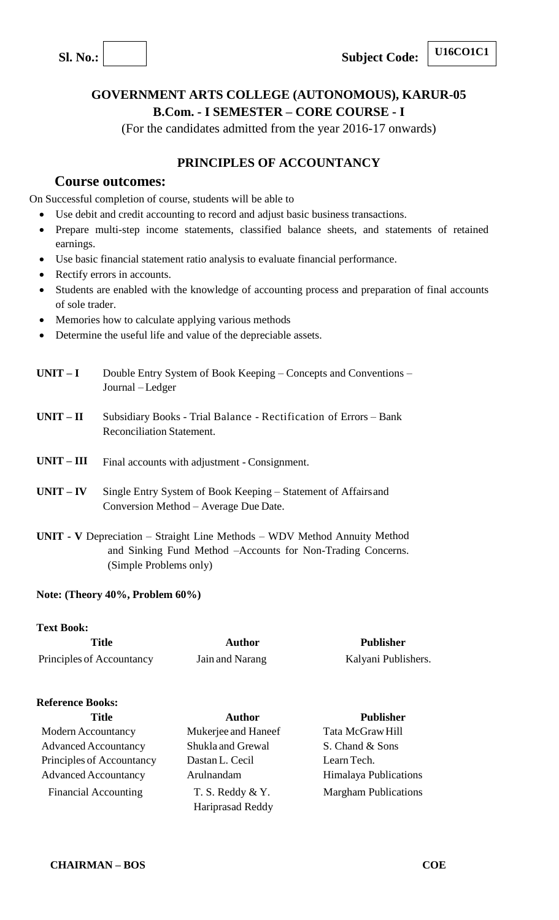**Sl.** No.: **Subject Code:** 

## **GOVERNMENT ARTS COLLEGE (AUTONOMOUS), KARUR-05 B.Com. - I SEMESTER – CORE COURSE - I**

(For the candidates admitted from the year 2016-17 onwards)

## **PRINCIPLES OF ACCOUNTANCY**

## **Course outcomes:**

On Successful completion of course, students will be able to

- Use debit and credit accounting to record and adjust basic business transactions.
- Prepare multi-step income statements, classified balance sheets, and statements of retained earnings.
- Use basic financial statement ratio analysis to evaluate financial performance.
- Rectify errors in accounts.
- Students are enabled with the knowledge of accounting process and preparation of final accounts of sole trader.
- Memories how to calculate applying various methods
- Determine the useful life and value of the depreciable assets.
- **UNIT – I** Double Entry System of Book Keeping Concepts and Conventions Journal – Ledger
- **UNIT – II** Subsidiary Books Trial Balance Rectification of Errors Bank Reconciliation Statement.
- **UNIT – III** Final accounts with adjustment Consignment.
- **UNIT – IV** Single Entry System of Book Keeping Statement of Affairsand Conversion Method – Average Due Date.
- **UNIT - V** Depreciation Straight Line Methods WDV Method Annuity Method and Sinking Fund Method –Accounts for Non-Trading Concerns. (Simple Problems only)

#### **Note: (Theory 40%, Problem 60%)**

#### **Text Book:**

**Title Author Publisher** Principles of Accountancy Jain and Narang Kalyani Publishers.

#### **Reference Books:**

Modern Accountancy Mukerjee and Haneef Tata McGraw Hill Advanced Accountancy Shukla and Grewal S. Chand & Sons Principles of Accountancy Dastan L. Cecil Learn Tech. Advanced Accountancy Arulnandam Himalaya Publications Financial Accounting T. S. Reddy & Y.

Hariprasad Reddy

**Title Author Publisher**  Margham Publications

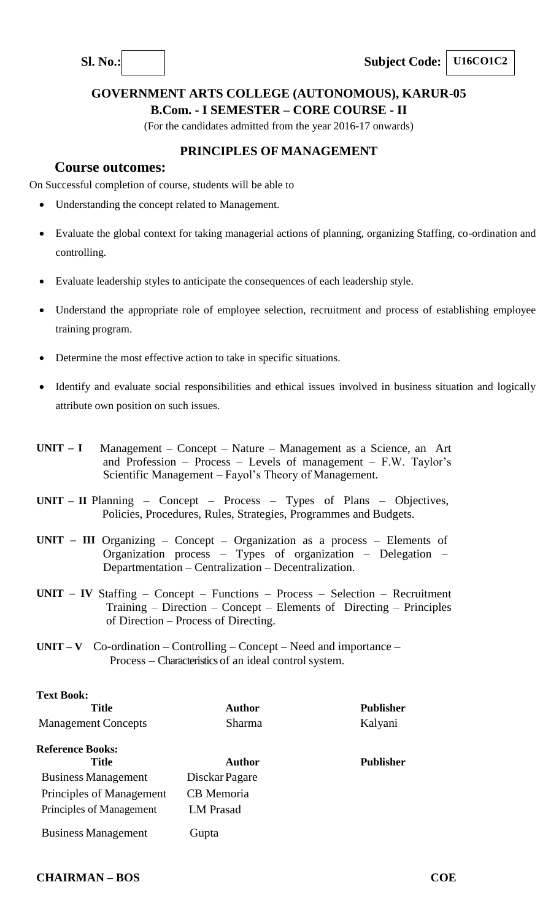

**B.Com. - I SEMESTER – CORE COURSE - II**

(For the candidates admitted from the year 2016-17 onwards)

## **PRINCIPLES OF MANAGEMENT**

## **Course outcomes:**

On Successful completion of course, students will be able to

- Understanding the concept related to Management.
- Evaluate the global context for taking managerial actions of planning, organizing Staffing, co-ordination and controlling.
- Evaluate leadership styles to anticipate the consequences of each leadership style.
- Understand the appropriate role of employee selection, recruitment and process of establishing employee training program.
- Determine the most effective action to take in specific situations.
- Identify and evaluate social responsibilities and ethical issues involved in business situation and logically attribute own position on such issues.
- **UNIT – I** Management Concept Nature Management as a Science, an Art and Profession – Process – Levels of management – F.W. Taylor's Scientific Management – Fayol's Theory of Management.
- **UNIT – II** Planning Concept Process Types of Plans Objectives, Policies, Procedures, Rules, Strategies, Programmes and Budgets.
- **UNIT – III** Organizing Concept Organization as a process Elements of Organization process – Types of organization – Delegation – Departmentation – Centralization – Decentralization.
- **UNIT – IV** Staffing Concept Functions Process Selection Recruitment Training – Direction – Concept – Elements of Directing – Principles of Direction – Process of Directing.
- **UNIT V** Co-ordination Controlling Concept Need and importance Process – Characteristics of an ideal control system.

| <b>Text Book:</b>          |                   |                  |
|----------------------------|-------------------|------------------|
| <b>Title</b>               | Author            | <b>Publisher</b> |
| <b>Management Concepts</b> | Sharma            | Kalyani          |
| <b>Reference Books:</b>    |                   |                  |
| <b>Title</b>               | Author            | <b>Publisher</b> |
| <b>Business Management</b> | Disckar Pagare    |                  |
| Principles of Management   | <b>CB</b> Memoria |                  |
| Principles of Management   | <b>LM</b> Prasad  |                  |
| <b>Business Management</b> | Gupta             |                  |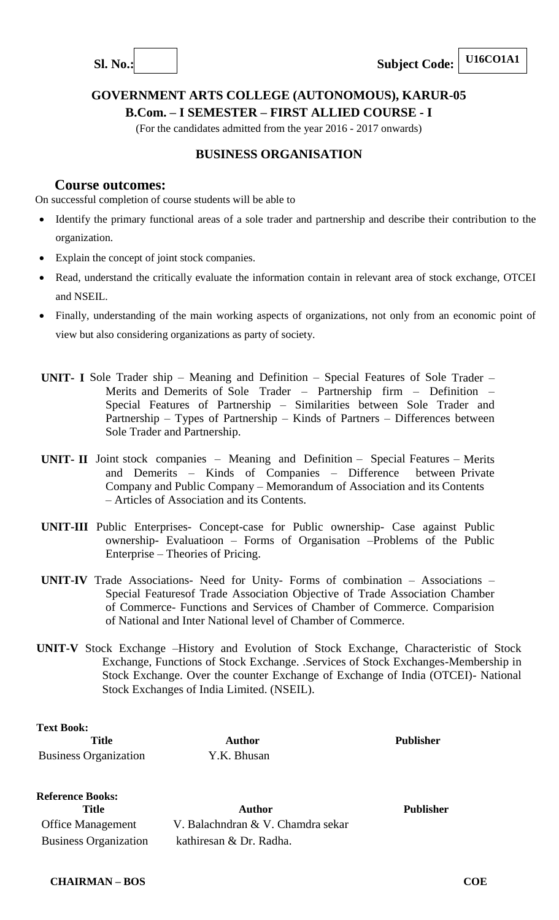



## **GOVERNMENT ARTS COLLEGE (AUTONOMOUS), KARUR-05 B.Com. – I SEMESTER – FIRST ALLIED COURSE - I**

(For the candidates admitted from the year 2016 - 2017 onwards)

## **BUSINESS ORGANISATION**

## **Course outcomes:**

On successful completion of course students will be able to

- Identify the primary functional areas of a sole trader and partnership and describe their contribution to the organization.
- Explain the concept of joint stock companies.
- Read, understand the critically evaluate the information contain in relevant area of stock exchange, OTCEI and NSEIL.
- Finally, understanding of the main working aspects of organizations, not only from an economic point of view but also considering organizations as party of society.
- **UNIT- I** Sole Trader ship Meaning and Definition Special Features of Sole Trader Merits and Demerits of Sole Trader – Partnership firm – Definition – Special Features of Partnership – Similarities between Sole Trader and Partnership – Types of Partnership – Kinds of Partners – Differences between Sole Trader and Partnership.
- **UNIT- II** Joint stock companies Meaning and Definition Special Features Merits and Demerits – Kinds of Companies – Difference between Private Company and Public Company – Memorandum of Association and its Contents – Articles of Association and its Contents.
- **UNIT-III** Public Enterprises- Concept-case for Public ownership- Case against Public ownership- Evaluatioon – Forms of Organisation –Problems of the Public Enterprise – Theories of Pricing.
- **UNIT-IV** Trade Associations- Need for Unity- Forms of combination Associations Special Featuresof Trade Association Objective of Trade Association Chamber of Commerce- Functions and Services of Chamber of Commerce. Comparision of National and Inter National level of Chamber of Commerce.
- **UNIT-V** Stock Exchange –History and Evolution of Stock Exchange, Characteristic of Stock Exchange, Functions of Stock Exchange. .Services of Stock Exchanges-Membership in Stock Exchange. Over the counter Exchange of Exchange of India (OTCEI)- National Stock Exchanges of India Limited. (NSEIL).

**Text Book: Title Author Publisher** Business Organization Y.K. Bhusan

**Reference Books: Title Author Publisher** Office Management V. Balachndran & V. Chamdra sekar Business Organization kathiresan & Dr. Radha.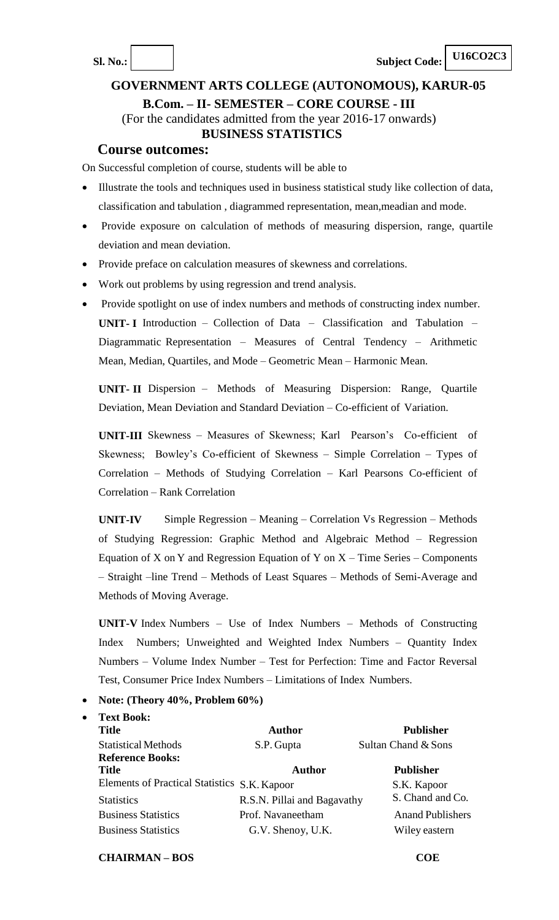#### **B.Com. – II- SEMESTER – CORE COURSE - III**

(For the candidates admitted from the year 2016-17 onwards) **BUSINESS STATISTICS**

#### **Course outcomes:**

On Successful completion of course, students will be able to

- Illustrate the tools and techniques used in business statistical study like collection of data, classification and tabulation , diagrammed representation, mean,meadian and mode.
- Provide exposure on calculation of methods of measuring dispersion, range, quartile deviation and mean deviation.
- Provide preface on calculation measures of skewness and correlations.
- Work out problems by using regression and trend analysis.
- Provide spotlight on use of index numbers and methods of constructing index number. **UNIT- I** Introduction – Collection of Data – Classification and Tabulation – Diagrammatic Representation – Measures of Central Tendency – Arithmetic Mean, Median, Quartiles, and Mode – Geometric Mean – Harmonic Mean.

**UNIT- II** Dispersion – Methods of Measuring Dispersion: Range, Quartile Deviation, Mean Deviation and Standard Deviation – Co-efficient of Variation.

**UNIT-III** Skewness – Measures of Skewness; Karl Pearson's Co-efficient of Skewness; Bowley's Co-efficient of Skewness – Simple Correlation – Types of Correlation – Methods of Studying Correlation – Karl Pearsons Co-efficient of Correlation – Rank Correlation

**UNIT-IV** Simple Regression – Meaning – Correlation Vs Regression – Methods of Studying Regression: Graphic Method and Algebraic Method – Regression Equation of X on Y and Regression Equation of Y on  $X -$  Time Series – Components – Straight –line Trend – Methods of Least Squares – Methods of Semi-Average and Methods of Moving Average.

**UNIT-V** Index Numbers – Use of Index Numbers – Methods of Constructing Index Numbers; Unweighted and Weighted Index Numbers – Quantity Index Numbers – Volume Index Number – Test for Perfection: Time and Factor Reversal Test, Consumer Price Index Numbers – Limitations of Index Numbers.

#### **Note: (Theory 40%, Problem 60%)**

**Text Book:**

| <b>Title</b>                                 | <b>Author</b>               | <b>Publisher</b>        |
|----------------------------------------------|-----------------------------|-------------------------|
| <b>Statistical Methods</b>                   | S.P. Gupta                  | Sultan Chand & Sons     |
| <b>Reference Books:</b>                      |                             |                         |
| <b>Title</b>                                 | <b>Author</b>               | <b>Publisher</b>        |
| Elements of Practical Statistics S.K. Kapoor |                             | S.K. Kapoor             |
| <b>Statistics</b>                            | R.S.N. Pillai and Bagavathy | S. Chand and Co.        |
| <b>Business Statistics</b>                   | Prof. Navaneetham           | <b>Anand Publishers</b> |
| <b>Business Statistics</b>                   | G.V. Shenoy, U.K.           | Wiley eastern           |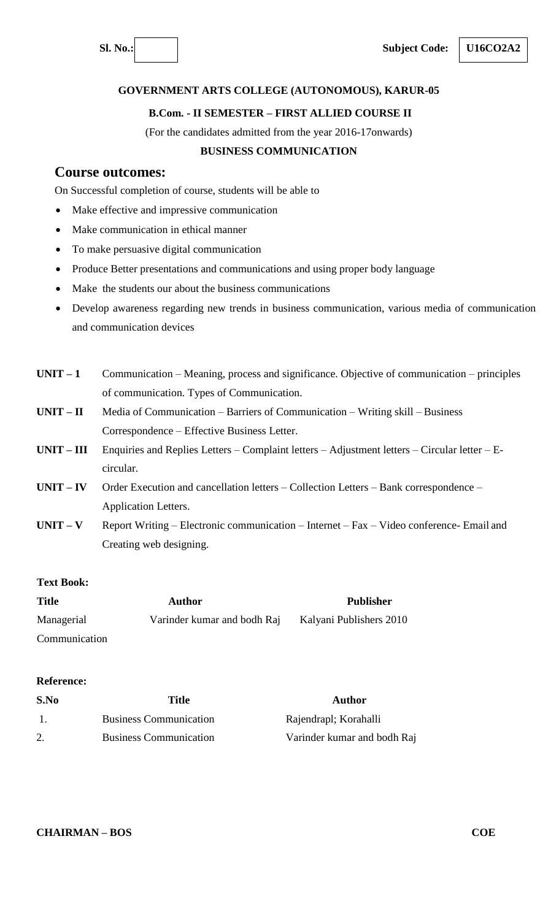**U16CO2A2**

#### **GOVERNMENT ARTS COLLEGE (AUTONOMOUS), KARUR-05**

#### **B.Com. - II SEMESTER – FIRST ALLIED COURSE II**

(For the candidates admitted from the year 2016-17onwards)

#### **BUSINESS COMMUNICATION**

## **Course outcomes:**

On Successful completion of course, students will be able to

- Make effective and impressive communication
- Make communication in ethical manner
- To make persuasive digital communication
- Produce Better presentations and communications and using proper body language
- Make the students our about the business communications
- Develop awareness regarding new trends in business communication, various media of communication and communication devices
- **UNIT – 1** Communication Meaning, process and significance. Objective of communication principles of communication. Types of Communication.
- **UNIT – II** Media of Communication Barriers of Communication Writing skill Business Correspondence – Effective Business Letter.
- **UNIT – III** Enquiries and Replies Letters Complaint letters Adjustment letters Circular letter Ecircular.
- **UNIT – IV** Order Execution and cancellation letters Collection Letters Bank correspondence Application Letters.
- **UNIT – V** Report Writing Electronic communication Internet Fax Video conference- Email and Creating web designing.

#### **Text Book:**

| <b>Title</b>  | Author                      | <b>Publisher</b>        |
|---------------|-----------------------------|-------------------------|
| Managerial    | Varinder kumar and bodh Raj | Kalyani Publishers 2010 |
| Communication |                             |                         |

#### **Reference:**

| S.No | Title                         | Author                      |
|------|-------------------------------|-----------------------------|
|      | <b>Business Communication</b> | Rajendrapl; Korahalli       |
|      | <b>Business Communication</b> | Varinder kumar and bodh Raj |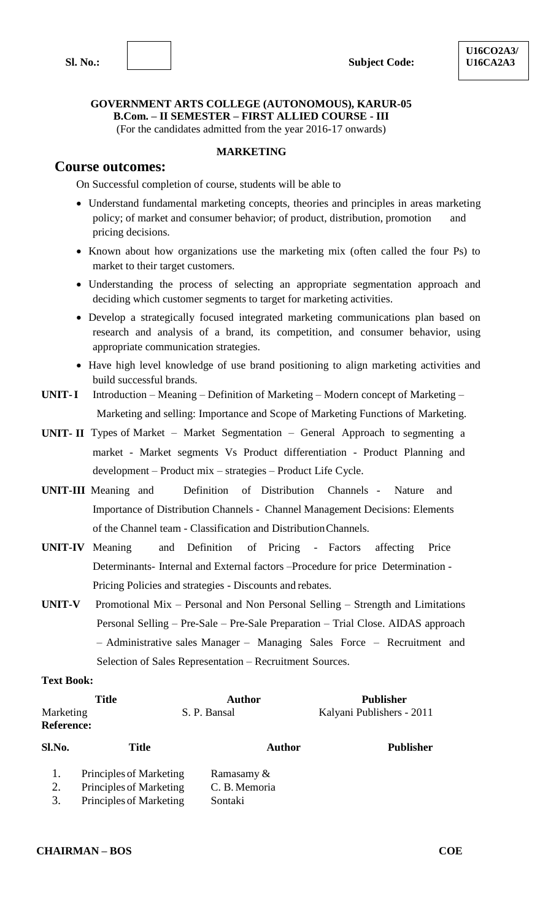#### **GOVERNMENT ARTS COLLEGE (AUTONOMOUS), KARUR-05 B.Com. – II SEMESTER – FIRST ALLIED COURSE - III** (For the candidates admitted from the year 2016-17 onwards)

## **Course outcomes:**

## **MARKETING**

On Successful completion of course, students will be able to

- Understand fundamental marketing concepts, theories and principles in areas marketing policy; of market and consumer behavior; of product, distribution, promotion and pricing decisions.
- Known about how organizations use the marketing mix (often called the four Ps) to market to their target customers.
- Understanding the process of selecting an appropriate segmentation approach and deciding which customer segments to target for marketing activities.
- Develop a strategically focused integrated marketing communications plan based on research and analysis of a brand, its competition, and consumer behavior, using appropriate communication strategies.
- Have high level knowledge of use brand positioning to align marketing activities and build successful brands.
- **UNIT-I** Introduction Meaning Definition of Marketing Modern concept of Marketing Marketing and selling: Importance and Scope of Marketing Functions of Marketing.
- **UNIT- II** Types of Market Market Segmentation General Approach to segmenting a market - Market segments Vs Product differentiation - Product Planning and development – Product mix – strategies – Product Life Cycle.
- **UNIT-III** Meaning and Definition of Distribution Channels Nature and Importance of Distribution Channels - Channel Management Decisions: Elements of the Channel team - Classification and DistributionChannels.
- **UNIT-IV** Meaning and Definition of Pricing Factors affecting Price Determinants- Internal and External factors –Procedure for price Determination - Pricing Policies and strategies - Discounts and rebates.
- **UNIT-V** Promotional Mix Personal and Non Personal Selling Strength and Limitations Personal Selling – Pre-Sale – Pre-Sale Preparation – Trial Close. AIDAS approach – Administrative sales Manager – Managing Sales Force – Recruitment and Selection of Sales Representation – Recruitment Sources.

#### **Text Book:**

| <b>Title</b>      |                         | <b>Author</b> | <b>Publisher</b>          |  |
|-------------------|-------------------------|---------------|---------------------------|--|
| Marketing         |                         | S. P. Bansal  | Kalyani Publishers - 2011 |  |
| <b>Reference:</b> |                         |               |                           |  |
| Sl.No.            | <b>Title</b>            | <b>Author</b> | <b>Publisher</b>          |  |
|                   | Principles of Marketing | Ramasamy &    |                           |  |
| 2.                | Principles of Marketing | C. B. Memoria |                           |  |
| 3.                | Principles of Marketing | Sontaki       |                           |  |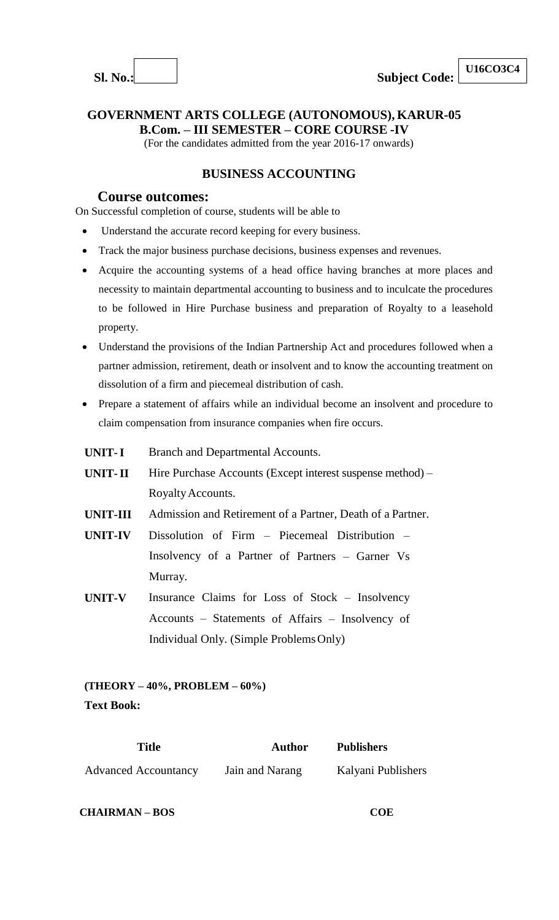

**U16CO3C4**

**GOVERNMENT ARTS COLLEGE (AUTONOMOUS), KARUR-05** 

**B.Com. – III SEMESTER – CORE COURSE -IV**

(For the candidates admitted from the year 2016-17 onwards)

## **BUSINESS ACCOUNTING**

## **Course outcomes:**

On Successful completion of course, students will be able to

- Understand the accurate record keeping for every business.
- Track the major business purchase decisions, business expenses and revenues.
- Acquire the accounting systems of a head office having branches at more places and necessity to maintain departmental accounting to business and to inculcate the procedures to be followed in Hire Purchase business and preparation of Royalty to a leasehold property.
- Understand the provisions of the Indian Partnership Act and procedures followed when a partner admission, retirement, death or insolvent and to know the accounting treatment on dissolution of a firm and piecemeal distribution of cash.
- Prepare a statement of affairs while an individual become an insolvent and procedure to claim compensation from insurance companies when fire occurs.
- **UNIT-I** Branch and Departmental Accounts.
- **UNIT-II** Hire Purchase Accounts (Except interest suspense method) RoyaltyAccounts.
- **UNIT-III** Admission and Retirement of a Partner, Death of a Partner.
- **UNIT-IV** Dissolution of Firm Piecemeal Distribution Insolvency of a Partner of Partners – Garner Vs Murray.
- **UNIT-V** Insurance Claims for Loss of Stock Insolvency Accounts – Statements of Affairs – Insolvency of Individual Only. (Simple ProblemsOnly)

## **(THEORY – 40%, PROBLEM – 60%) Text Book:**

| <b>Title</b>                | <b>Author</b>   | <b>Publishers</b>  |
|-----------------------------|-----------------|--------------------|
| <b>Advanced Accountancy</b> | Jain and Narang | Kalyani Publishers |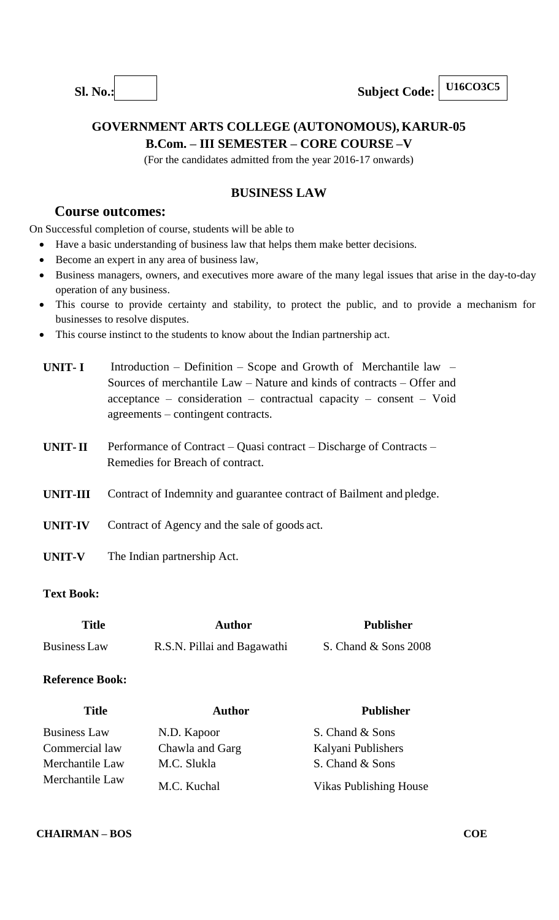## **GOVERNMENT ARTS COLLEGE (AUTONOMOUS), KARUR-05 B.Com. – III SEMESTER – CORE COURSE –V**

(For the candidates admitted from the year 2016-17 onwards)

## **BUSINESS LAW**

## **Course outcomes:**

On Successful completion of course, students will be able to

- Have a basic understanding of business law that helps them make better decisions.
- Become an expert in any area of business law,
- Business managers, owners, and executives more aware of the many legal issues that arise in the day-to-day operation of any business.
- This course to provide certainty and stability, to protect the public, and to provide a mechanism for businesses to resolve disputes.
- This course instinct to the students to know about the Indian partnership act.

| UNIT- I | Introduction – Definition – Scope and Growth of Merchantile law –          |
|---------|----------------------------------------------------------------------------|
|         | Sources of merchantile $Law - Nature$ and kinds of contracts $-$ Offer and |
|         | $acceptance - consideration - contractual capacity - consent - Void$       |
|         | $agreenents$ – contingent contracts.                                       |

- **UNIT-II** Performance of Contract Quasi contract Discharge of Contracts Remedies for Breach of contract.
- **UNIT-III** Contract of Indemnity and guarantee contract of Bailment and pledge.
- **UNIT-IV** Contract of Agency and the sale of goods act.
- **UNIT-V** The Indian partnership Act.

#### **Text Book:**

| <b>Title</b> | <b>Author</b>               | <b>Publisher</b>     |
|--------------|-----------------------------|----------------------|
| Business Law | R.S.N. Pillai and Bagawathi | S. Chand & Sons 2008 |

#### **Reference Book:**

| <b>Title</b>        | <b>Author</b>   | <b>Publisher</b>              |
|---------------------|-----------------|-------------------------------|
| <b>Business Law</b> | N.D. Kapoor     | S. Chand & Sons               |
| Commercial law      | Chawla and Garg | Kalyani Publishers            |
| Merchantile Law     | M.C. Slukla     | S. Chand & Sons               |
| Merchantile Law     | M.C. Kuchal     | <b>Vikas Publishing House</b> |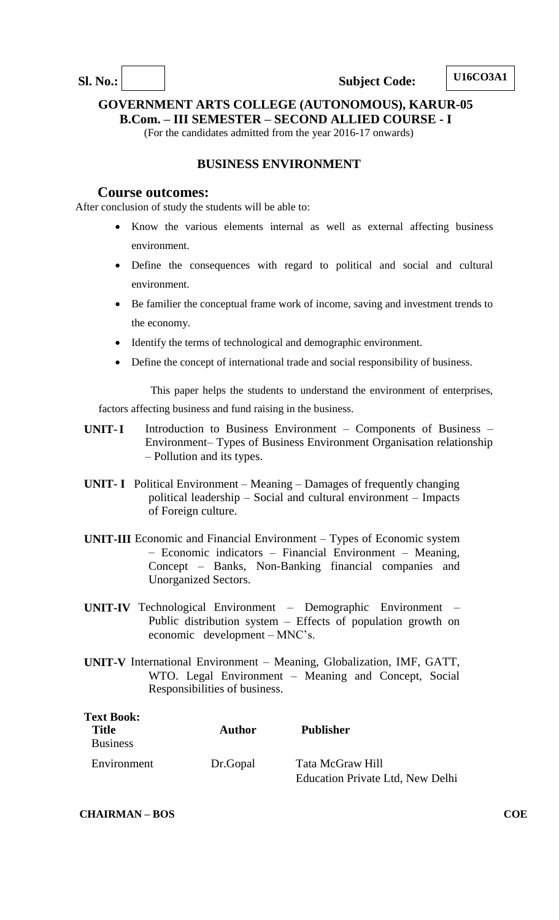**Sl.** No.: Subject Code:

**GOVERNMENT ARTS COLLEGE (AUTONOMOUS), KARUR-05** 

**B.Com. – III SEMESTER – SECOND ALLIED COURSE - I**

(For the candidates admitted from the year 2016-17 onwards)

## **BUSINESS ENVIRONMENT**

#### **Course outcomes:**

After conclusion of study the students will be able to:

- Know the various elements internal as well as external affecting business environment.
- Define the consequences with regard to political and social and cultural environment.
- Be familier the conceptual frame work of income, saving and investment trends to the economy.
- Identify the terms of technological and demographic environment.
- Define the concept of international trade and social responsibility of business.

 This paper helps the students to understand the environment of enterprises, factors affecting business and fund raising in the business.

- **UNIT-I** Introduction to Business Environment Components of Business Environment– Types of Business Environment Organisation relationship – Pollution and its types.
- **UNIT- I** Political Environment Meaning Damages of frequently changing political leadership – Social and cultural environment – Impacts of Foreign culture.
- **UNIT-III** Economic and Financial Environment Types of Economic system – Economic indicators – Financial Environment – Meaning, Concept – Banks, Non-Banking financial companies and Unorganized Sectors.
- **UNIT-IV** Technological Environment Demographic Environment Public distribution system – Effects of population growth on economic development – MNC's.
- **UNIT-V** International Environment Meaning, Globalization, IMF, GATT, WTO. Legal Environment – Meaning and Concept, Social Responsibilities of business.

| <b>Text Book:</b><br><b>Title</b><br><b>Business</b> | <b>Author</b> | <b>Publisher</b>                                     |
|------------------------------------------------------|---------------|------------------------------------------------------|
| Environment                                          | Dr.Gopal      | Tata McGraw Hill<br>Education Private Ltd, New Delhi |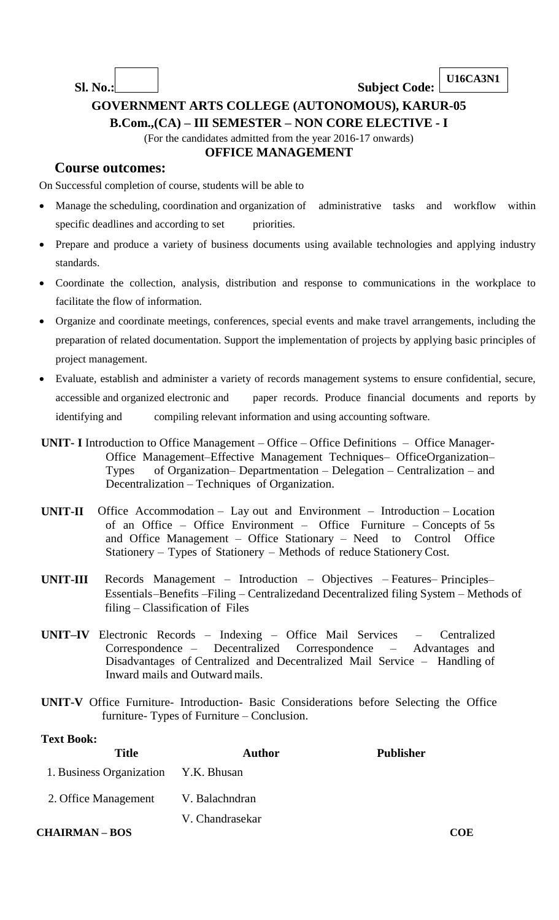**U16CA3N1**

# **GOVERNMENT ARTS COLLEGE (AUTONOMOUS), KARUR-05**

**B.Com.,(CA) – III SEMESTER – NON CORE ELECTIVE - I**

(For the candidates admitted from the year 2016-17 onwards)

## **OFFICE MANAGEMENT**

**Sl. No.: Subject Code:**

## **Course outcomes:**

On Successful completion of course, students will be able to

- Manage the scheduling, coordination and organization of administrative tasks and workflow within specific deadlines and according to set priorities.
- Prepare and produce a variety of business documents using available technologies and applying industry standards.
- Coordinate the collection, analysis, distribution and response to communications in the workplace to facilitate the flow of information.
- Organize and coordinate meetings, conferences, special events and make travel arrangements, including the preparation of related documentation. Support the implementation of projects by applying basic principles of project management.
- Evaluate, establish and administer a variety of records management systems to ensure confidential, secure, accessible and organized electronic and paper records. Produce financial documents and reports by identifying and compiling relevant information and using accounting software.
- **UNIT- I** Introduction to Office Management Office Office Definitions Office Manager-Office Management–Effective Management Techniques– OfficeOrganization– Types of Organization– Departmentation – Delegation – Centralization – and Decentralization – Techniques of Organization.
- **UNIT-II** Office Accommodation Lay out and Environment Introduction Location of an Office – Office Environment – Office Furniture – Concepts of 5s and Office Management – Office Stationary – Need to Control Office Stationery – Types of Stationery – Methods of reduce Stationery Cost.
- **UNIT-III** Records Management Introduction Objectives Features– Principles– Essentials–Benefits –Filing – Centralizedand Decentralized filing System – Methods of filing – Classification of Files
- **UNIT–IV** Electronic Records Indexing Office Mail Services Centralized Correspondence – Decentralized Correspondence – Advantages and Disadvantages of Centralized and Decentralized Mail Service – Handling of Inward mails and Outwardmails.
- **UNIT-V** Office Furniture- Introduction- Basic Considerations before Selecting the Office furniture- Types of Furniture – Conclusion.

#### **Text Book:**

| <b>Title</b>                         | <b>Author</b>   | <b>Publisher</b> |
|--------------------------------------|-----------------|------------------|
| 1. Business Organization Y.K. Bhusan |                 |                  |
| 2. Office Management V. Balachndran  |                 |                  |
|                                      | V. Chandrasekar |                  |
| <b>CHAIRMAN-BOS</b>                  |                 | COE              |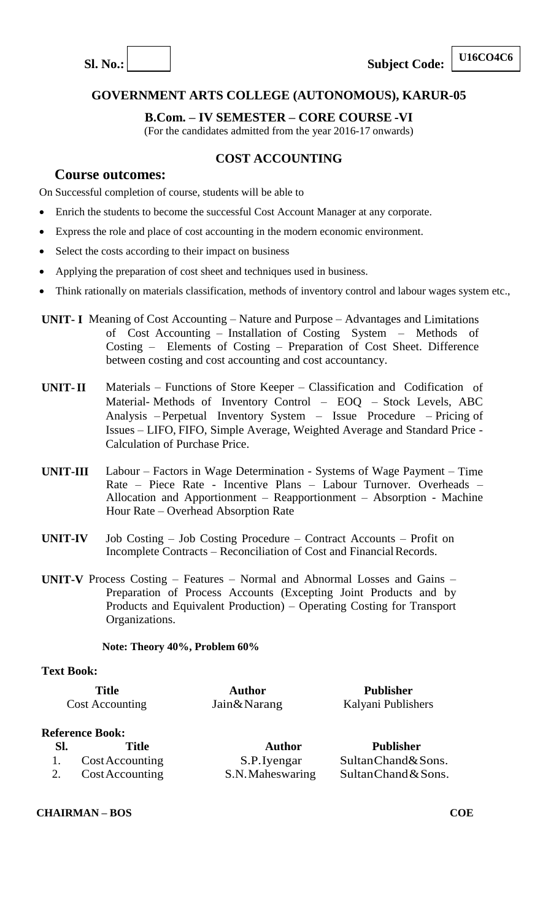

**SI.** No.:  $\vert$  **Subject Code:** 

#### **U16CO4C6**

## **GOVERNMENT ARTS COLLEGE (AUTONOMOUS), KARUR-05**

#### **B.Com. – IV SEMESTER – CORE COURSE -VI**

(For the candidates admitted from the year 2016-17 onwards)

#### **COST ACCOUNTING**

## **Course outcomes:**

On Successful completion of course, students will be able to

- Enrich the students to become the successful Cost Account Manager at any corporate.
- Express the role and place of cost accounting in the modern economic environment.
- Select the costs according to their impact on business
- Applying the preparation of cost sheet and techniques used in business.
- Think rationally on materials classification, methods of inventory control and labour wages system etc.,
- **UNIT- I** Meaning of Cost Accounting Nature and Purpose Advantages and Limitations of Cost Accounting – Installation of Costing System – Methods of Costing – Elements of Costing – Preparation of Cost Sheet. Difference between costing and cost accounting and cost accountancy.
- **UNIT-II** Materials Functions of Store Keeper Classification and Codification of Material- Methods of Inventory Control – EOQ – Stock Levels, ABC Analysis – Perpetual Inventory System – Issue Procedure – Pricing of Issues – LIFO, FIFO, Simple Average, Weighted Average and Standard Price - Calculation of Purchase Price.
- **UNIT-III** Labour Factors in Wage Determination Systems of Wage Payment Time Rate – Piece Rate - Incentive Plans – Labour Turnover. Overheads – Allocation and Apportionment – Reapportionment – Absorption - Machine Hour Rate – Overhead Absorption Rate
- **UNIT-IV** Job Costing Job Costing Procedure Contract Accounts Profit on Incomplete Contracts – Reconciliation of Cost and Financial Records.
- **UNIT-V** Process Costing Features Normal and Abnormal Losses and Gains Preparation of Process Accounts (Excepting Joint Products and by Products and Equivalent Production) – Operating Costing for Transport Organizations.

#### **Note: Theory 40%, Problem 60%**

#### **Text Book:**

| <b>Title</b>           | Author        | Publisher          |
|------------------------|---------------|--------------------|
| <b>Cost Accounting</b> | Jain & Narang | Kalyani Publishers |

#### **Reference Book:**

| - SI. | <b>Title</b>       | Author           | <b>Publisher</b>     |
|-------|--------------------|------------------|----------------------|
|       | 1. Cost Accounting | S.P. Iyengar     | Sultan Chand & Sons. |
|       | 2. Cost Accounting | S.N. Maheswaring | Sultan Chand & Sons. |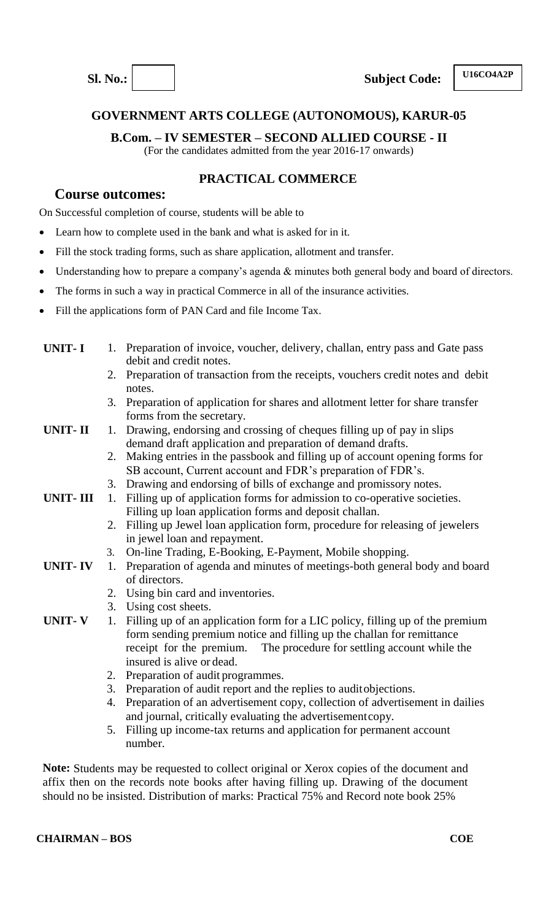**B.Com. – IV SEMESTER – SECOND ALLIED COURSE - II**

(For the candidates admitted from the year 2016-17 onwards)

## **PRACTICAL COMMERCE**

### **Course outcomes:**

On Successful completion of course, students will be able to

- Learn how to complete used in the bank and what is asked for in it.
- Fill the stock trading forms, such as share application, allotment and transfer.
- Understanding how to prepare a company's agenda & minutes both general body and board of directors.
- The forms in such a way in practical Commerce in all of the insurance activities.
- Fill the applications form of PAN Card and file Income Tax.
- **UNIT-I** 1. Preparation of invoice, voucher, delivery, challan, entry pass and Gate pass debit and credit notes. 2. Preparation of transaction from the receipts, vouchers credit notes and debit notes. 3. Preparation of application for shares and allotment letter for share transfer forms from the secretary. **UNIT-II** 1. Drawing, endorsing and crossing of cheques filling up of pay in slips demand draft application and preparation of demand drafts. 2. Making entries in the passbook and filling up of account opening forms for SB account, Current account and FDR's preparation of FDR's. 3. Drawing and endorsing of bills of exchange and promissory notes. **UNIT- III** 1. Filling up of application forms for admission to co-operative societies. Filling up loan application forms and deposit challan.
	- 2. Filling up Jewel loan application form, procedure for releasing of jewelers in jewel loan and repayment.
	- 3. On-line Trading, E-Booking, E-Payment, Mobile shopping.
- **UNIT- IV** 1. Preparation of agenda and minutes of meetings-both general body and board of directors.
	- 2. Using bin card and inventories.
	- 3. Using cost sheets.
- **UNIT- V** 1. Filling up of an application form for a LIC policy, filling up of the premium form sending premium notice and filling up the challan for remittance receipt for the premium. The procedure for settling account while the insured is alive or dead.
	- 2. Preparation of audit programmes.
	- 3. Preparation of audit report and the replies to auditobjections.
	- 4. Preparation of an advertisement copy, collection of advertisement in dailies and journal, critically evaluating the advertisementcopy.
	- 5. Filling up income-tax returns and application for permanent account number.

**Note:** Students may be requested to collect original or Xerox copies of the document and affix then on the records note books after having filling up. Drawing of the document should no be insisted. Distribution of marks: Practical 75% and Record note book 25%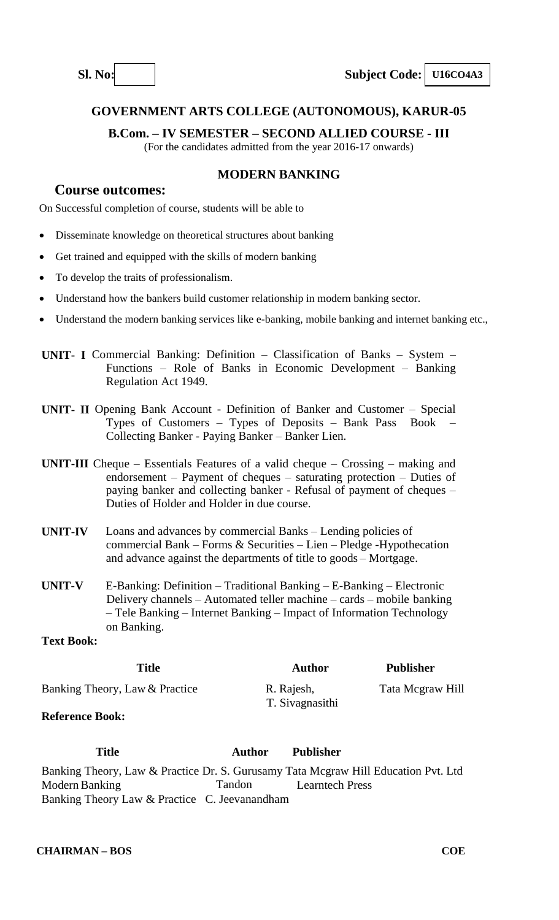

**B.Com. – IV SEMESTER – SECOND ALLIED COURSE - III**

(For the candidates admitted from the year 2016-17 onwards)

## **MODERN BANKING**

## **Course outcomes:**

On Successful completion of course, students will be able to

- Disseminate knowledge on theoretical structures about banking
- Get trained and equipped with the skills of modern banking
- To develop the traits of professionalism.
- Understand how the bankers build customer relationship in modern banking sector.
- Understand the modern banking services like e-banking, mobile banking and internet banking etc.,

**UNIT- I** Commercial Banking: Definition – Classification of Banks – System – Functions – Role of Banks in Economic Development – Banking Regulation Act 1949.

- **UNIT- II** Opening Bank Account Definition of Banker and Customer Special Types of Customers – Types of Deposits – Bank Pass Book – Collecting Banker - Paying Banker – Banker Lien.
- **UNIT-III** Cheque Essentials Features of a valid cheque Crossing making and endorsement – Payment of cheques – saturating protection – Duties of paying banker and collecting banker - Refusal of payment of cheques – Duties of Holder and Holder in due course.
- **UNIT-IV** Loans and advances by commercial Banks Lending policies of commercial Bank – Forms & Securities – Lien – Pledge -Hypothecation and advance against the departments of title to goods – Mortgage.
- **UNIT-V** E-Banking: Definition Traditional Banking E-Banking Electronic Delivery channels – Automated teller machine – cards – mobile banking – Tele Banking – Internet Banking – Impact of Information Technology on Banking.

#### **Text Book:**

| Title                          | Author                        | <b>Publisher</b> |
|--------------------------------|-------------------------------|------------------|
| Banking Theory, Law & Practice | R. Rajesh,<br>T. Sivagnasithi | Tata Megraw Hill |
| $\mathbf{r}$                   |                               |                  |

#### **Reference Book:**

**Title Author Publisher** Banking Theory, Law & Practice Dr. S. Gurusamy Tata Mcgraw Hill Education Pvt. Ltd ModernBanking Tandon Learntech Press Banking Theory Law & Practice C. Jeevanandham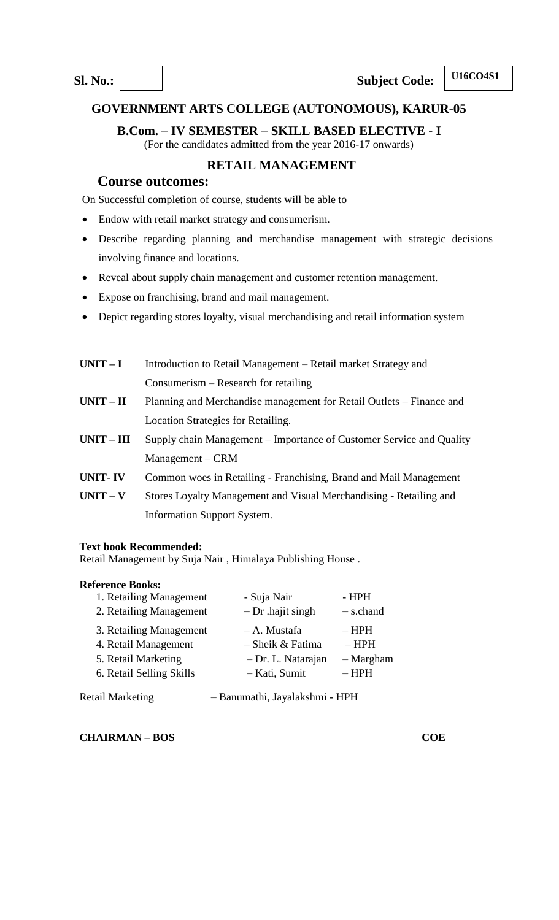## **B.Com. – IV SEMESTER – SKILL BASED ELECTIVE - I**

(For the candidates admitted from the year 2016-17 onwards)

## **RETAIL MANAGEMENT**

### **Course outcomes:**

On Successful completion of course, students will be able to

- Endow with retail market strategy and consumerism.
- Describe regarding planning and merchandise management with strategic decisions involving finance and locations.
- Reveal about supply chain management and customer retention management.
- Expose on franchising, brand and mail management.
- Depict regarding stores loyalty, visual merchandising and retail information system
- **UNIT I** Introduction to Retail Management Retail market Strategy and Consumerism – Research for retailing **UNIT – II** Planning and Merchandise management for Retail Outlets – Finance and Location Strategies for Retailing. **UNIT – III** Supply chain Management – Importance of Customer Service and Quality Management – CRM **UNIT- IV** Common woes in Retailing - Franchising, Brand and Mail Management **UNIT – V** Stores Loyalty Management and Visual Merchandising - Retailing and Information Support System.

#### **Text book Recommended:**

Retail Management by Suja Nair , Himalaya Publishing House .

#### **Reference Books:**

| 1. Retailing Management  | - Suja Nair         | $-HPH$      |
|--------------------------|---------------------|-------------|
| 2. Retailing Management  | $-Dr$ . hajit singh | $-$ s.chand |
| 3. Retailing Management  | – A. Mustafa        | $-$ HPH     |
| 4. Retail Management     | $-$ Sheik & Fatima  | $-$ HPH     |
| 5. Retail Marketing      | - Dr. L. Natarajan  | $-$ Margham |
| 6. Retail Selling Skills | – Kati, Sumit       | $-$ HPH     |
|                          |                     |             |

| <b>Retail Marketing</b> | - Banumathi, Jayalakshmi - HPH |  |
|-------------------------|--------------------------------|--|
|                         |                                |  |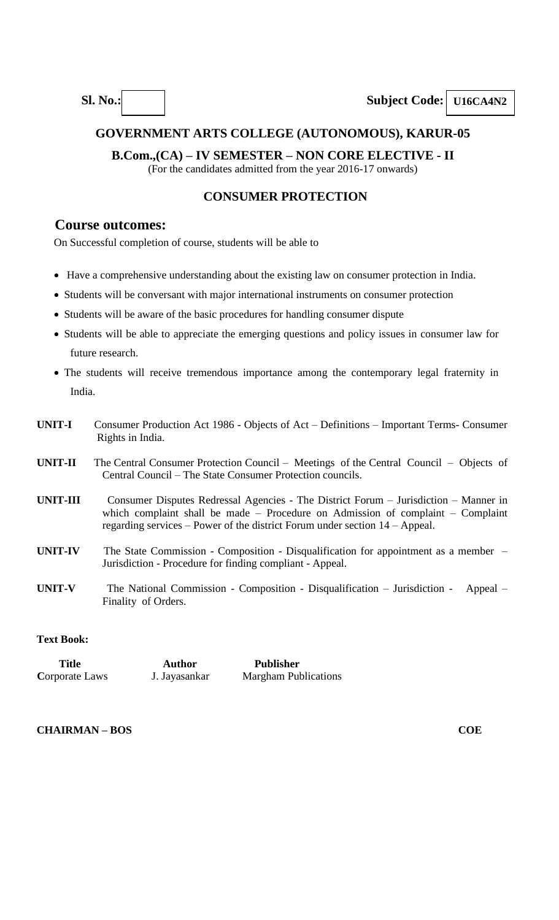## **B.Com.,(CA) – IV SEMESTER – NON CORE ELECTIVE - II**

(For the candidates admitted from the year 2016-17 onwards)

#### **CONSUMER PROTECTION**

## **Course outcomes:**

On Successful completion of course, students will be able to

- Have a comprehensive understanding about the existing law on consumer protection in India.
- Students will be conversant with major international instruments on consumer protection
- Students will be aware of the basic procedures for handling consumer dispute
- Students will be able to appreciate the emerging questions and policy issues in consumer law for future research.
- The students will receive tremendous importance among the contemporary legal fraternity in India.
- **UNIT-I** Consumer Production Act 1986 Objects of Act Definitions Important Terms- Consumer Rights in India.
- **UNIT-II** The Central Consumer Protection Council Meetings of the Central Council Objects of Central Council – The State Consumer Protection councils.
- **UNIT-III** Consumer Disputes Redressal Agencies The District Forum Jurisdiction Manner in which complaint shall be made – Procedure on Admission of complaint – Complaint regarding services – Power of the district Forum under section 14 – Appeal.
- **UNIT-IV** The State Commission Composition Disqualification for appointment as a member Jurisdiction - Procedure for finding compliant - Appeal.
- **UNIT-V** The National Commission Composition Disqualification Jurisdiction Appeal Finality of Orders.

#### **Text Book:**

| Title          | <b>Author</b> | <b>Publisher</b>            |
|----------------|---------------|-----------------------------|
| Corporate Laws | J. Jayasankar | <b>Margham Publications</b> |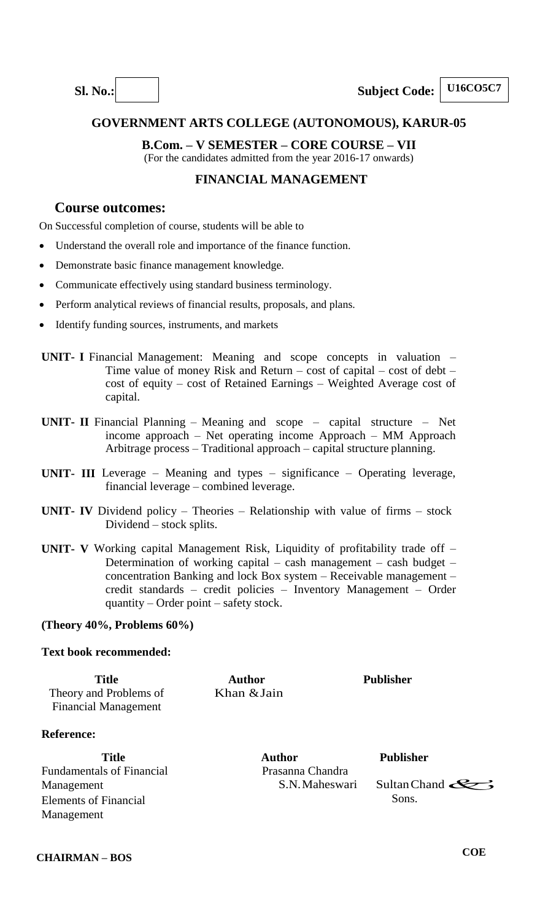

## **B.Com. – V SEMESTER – CORE COURSE – VII**

(For the candidates admitted from the year 2016-17 onwards)

## **FINANCIAL MANAGEMENT**

## **Course outcomes:**

On Successful completion of course, students will be able to

- Understand the overall role and importance of the finance function.
- Demonstrate basic finance management knowledge.
- Communicate effectively using standard business terminology.
- Perform analytical reviews of financial results, proposals, and plans.
- Identify funding sources, instruments, and markets
- **UNIT-** I Financial Management: Meaning and scope concepts in valuation Time value of money Risk and Return – cost of capital – cost of debt – cost of equity – cost of Retained Earnings – Weighted Average cost of capital.
- **UNIT- II** Financial Planning Meaning and scope capital structure Net income approach – Net operating income Approach – MM Approach Arbitrage process – Traditional approach – capital structure planning.
- **UNIT- III** Leverage Meaning and types significance Operating leverage, financial leverage – combined leverage.
- **UNIT- IV** Dividend policy Theories Relationship with value of firms stock Dividend – stock splits.
- **UNIT- V** Working capital Management Risk, Liquidity of profitability trade off Determination of working capital – cash management – cash budget – concentration Banking and lock Box system – Receivable management – credit standards – credit policies – Inventory Management – Order quantity – Order point – safety stock.

#### **(Theory 40%, Problems 60%)**

#### **Text book recommended:**

| <b>Title</b><br>Theory and Problems of<br><b>Financial Management</b> | <b>Author</b><br>Khan & Jain | <b>Publisher</b> |  |
|-----------------------------------------------------------------------|------------------------------|------------------|--|
| <b>Reference:</b>                                                     |                              |                  |  |

Fundamentals of Financial Management Elements of Financial Management

Sons. Sultan Chand  $\mathcal{L}$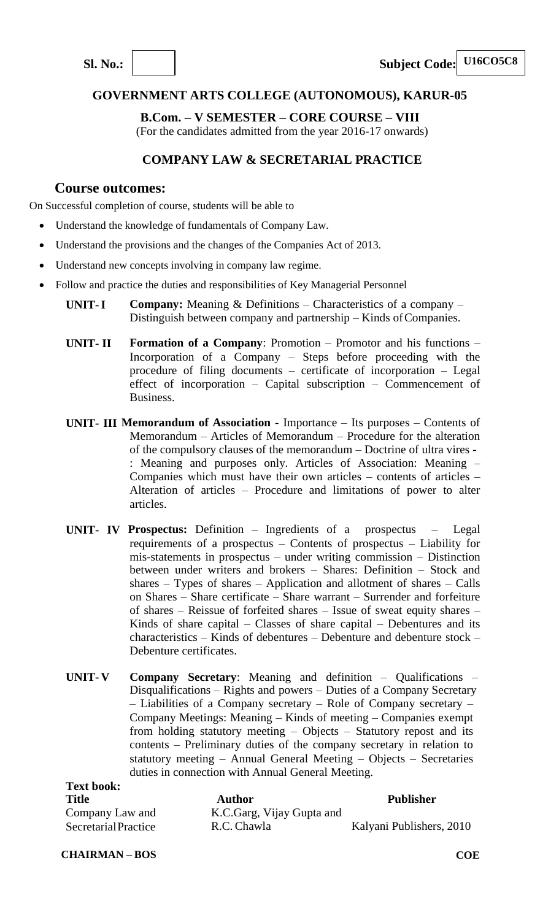**B.Com. – V SEMESTER – CORE COURSE – VIII**

(For the candidates admitted from the year 2016-17 onwards)

## **COMPANY LAW & SECRETARIAL PRACTICE**

## **Course outcomes:**

On Successful completion of course, students will be able to

- Understand the knowledge of fundamentals of Company Law.
- Understand the provisions and the changes of the Companies Act of 2013.
- Understand new concepts involving in company law regime.
- Follow and practice the duties and responsibilities of Key Managerial Personnel
	- **UNIT-I Company:** Meaning & Definitions Characteristics of a company Distinguish between company and partnership – Kinds of Companies.
	- **UNIT- II Formation of a Company**: Promotion Promotor and his functions Incorporation of a Company – Steps before proceeding with the procedure of filing documents – certificate of incorporation – Legal effect of incorporation – Capital subscription – Commencement of Business.
	- **UNIT- III Memorandum of Association**  Importance Its purposes Contents of Memorandum – Articles of Memorandum – Procedure for the alteration of the compulsory clauses of the memorandum – Doctrine of ultra vires - : Meaning and purposes only. Articles of Association: Meaning – Companies which must have their own articles – contents of articles – Alteration of articles – Procedure and limitations of power to alter articles.
	- **UNIT- IV Prospectus:** Definition Ingredients of a prospectus Legal requirements of a prospectus – Contents of prospectus – Liability for mis-statements in prospectus – under writing commission – Distinction between under writers and brokers – Shares: Definition – Stock and shares – Types of shares – Application and allotment of shares – Calls on Shares – Share certificate – Share warrant – Surrender and forfeiture of shares – Reissue of forfeited shares – Issue of sweat equity shares – Kinds of share capital – Classes of share capital – Debentures and its characteristics – Kinds of debentures – Debenture and debenture stock – Debenture certificates.
	- **UNIT- V Company Secretary**: Meaning and definition Qualifications Disqualifications – Rights and powers – Duties of a Company Secretary – Liabilities of a Company secretary – Role of Company secretary – Company Meetings: Meaning – Kinds of meeting – Companies exempt from holding statutory meeting – Objects – Statutory repost and its contents – Preliminary duties of the company secretary in relation to statutory meeting – Annual General Meeting – Objects – Secretaries duties in connection with Annual General Meeting.

| <b>Text book:</b>    |                           |                          |
|----------------------|---------------------------|--------------------------|
| <b>Title</b>         | <b>Author</b>             | <b>Publisher</b>         |
| Company Law and      | K.C.Garg, Vijay Gupta and |                          |
| Secretarial Practice | R.C. Chawla               | Kalyani Publishers, 2010 |

**CHAIRMAN – BOS**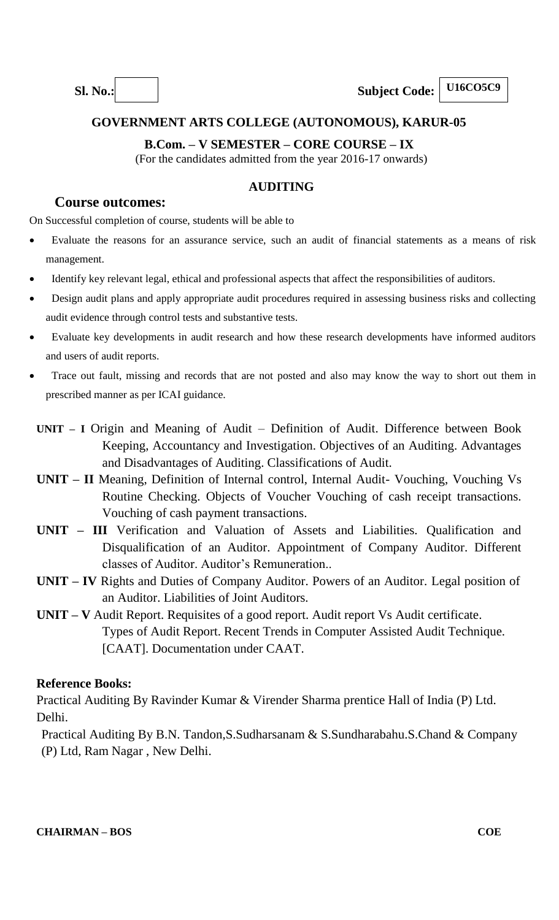## **B.Com. – V SEMESTER – CORE COURSE – IX**

(For the candidates admitted from the year 2016-17 onwards)

## **AUDITING**

## **Course outcomes:**

On Successful completion of course, students will be able to

- Evaluate the reasons for an assurance service, such an audit of financial statements as a means of risk management.
- Identify key relevant legal, ethical and professional aspects that affect the responsibilities of auditors.
- Design audit plans and apply appropriate audit procedures required in assessing business risks and collecting audit evidence through control tests and substantive tests.
- Evaluate key developments in audit research and how these research developments have informed auditors and users of audit reports.
- Trace out fault, missing and records that are not posted and also may know the way to short out them in prescribed manner as per ICAI guidance.
- **UNIT – I** Origin and Meaning of Audit Definition of Audit. Difference between Book Keeping, Accountancy and Investigation. Objectives of an Auditing. Advantages and Disadvantages of Auditing. Classifications of Audit.
- **UNIT – II** Meaning, Definition of Internal control, Internal Audit- Vouching, Vouching Vs Routine Checking. Objects of Voucher Vouching of cash receipt transactions. Vouching of cash payment transactions.
- **UNIT – III** Verification and Valuation of Assets and Liabilities. Qualification and Disqualification of an Auditor. Appointment of Company Auditor. Different classes of Auditor. Auditor's Remuneration..
- **UNIT – IV** Rights and Duties of Company Auditor. Powers of an Auditor. Legal position of an Auditor. Liabilities of Joint Auditors.
- **UNIT – V** Audit Report. Requisites of a good report. Audit report Vs Audit certificate. Types of Audit Report. Recent Trends in Computer Assisted Audit Technique. [CAAT]. Documentation under CAAT.

#### **Reference Books:**

Practical Auditing By Ravinder Kumar & Virender Sharma prentice Hall of India (P) Ltd. Delhi.

Practical Auditing By B.N. Tandon,S.Sudharsanam & S.Sundharabahu.S.Chand & Company (P) Ltd, Ram Nagar , New Delhi.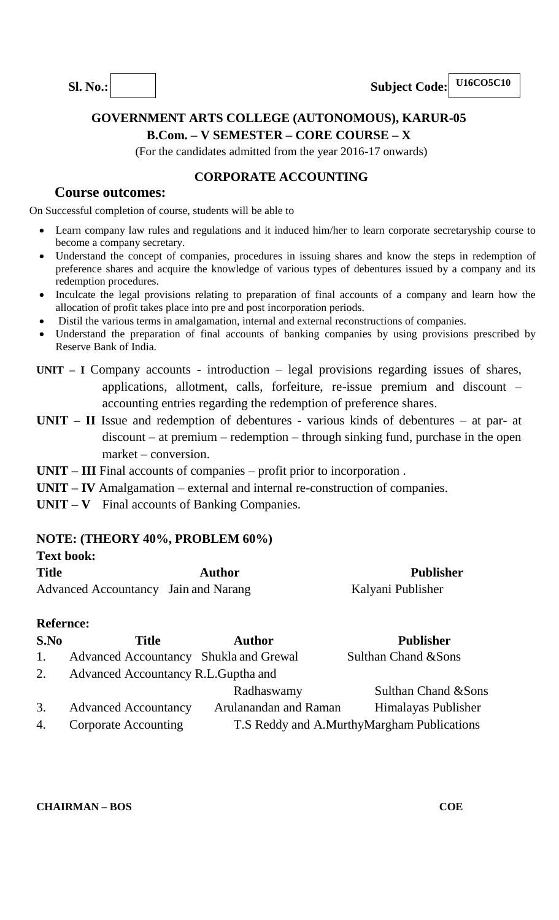

## **GOVERNMENT ARTS COLLEGE (AUTONOMOUS), KARUR-05 B.Com. – V SEMESTER – CORE COURSE – X**

(For the candidates admitted from the year 2016-17 onwards)

## **CORPORATE ACCOUNTING**

## **Course outcomes:**

On Successful completion of course, students will be able to

- Learn company law rules and regulations and it induced him/her to learn corporate secretaryship course to become a company secretary.
- Understand the concept of companies, procedures in issuing shares and know the steps in redemption of preference shares and acquire the knowledge of various types of debentures issued by a company and its redemption procedures.
- Inculcate the legal provisions relating to preparation of final accounts of a company and learn how the allocation of profit takes place into pre and post incorporation periods.
- Distil the various terms in amalgamation, internal and external reconstructions of companies.
- Understand the preparation of final accounts of banking companies by using provisions prescribed by Reserve Bank of India.
- **UNIT – I** Company accounts introduction legal provisions regarding issues of shares, applications, allotment, calls, forfeiture, re-issue premium and discount – accounting entries regarding the redemption of preference shares.
- **UNIT – II** Issue and redemption of debentures various kinds of debentures at par- at discount – at premium – redemption – through sinking fund, purchase in the open market – conversion.
- **UNIT – III** Final accounts of companies profit prior to incorporation .
- **UNIT – IV** Amalgamation external and internal re-construction of companies.
- **UNIT – V** Final accounts of Banking Companies.

#### **NOTE: (THEORY 40%, PROBLEM 60%)**

| <b>Text book:</b>                    |        |                   |
|--------------------------------------|--------|-------------------|
| <b>Title</b>                         | Author | <b>Publisher</b>  |
| Advanced Accountancy Jain and Narang |        | Kalyani Publisher |

#### **Refernce:**

| S.No | <b>Title</b>                           | <b>Author</b>         | <b>Publisher</b>                           |
|------|----------------------------------------|-----------------------|--------------------------------------------|
| 1.   | Advanced Accountancy Shukla and Grewal |                       | Sulthan Chand & Sons                       |
| 2.   | Advanced Accountancy R.L. Guptha and   |                       |                                            |
|      |                                        | Radhaswamy            | Sulthan Chand & Sons                       |
| 3.   | <b>Advanced Accountancy</b>            | Arulanandan and Raman | Himalayas Publisher                        |
| 4.   | <b>Corporate Accounting</b>            |                       | T.S Reddy and A.MurthyMargham Publications |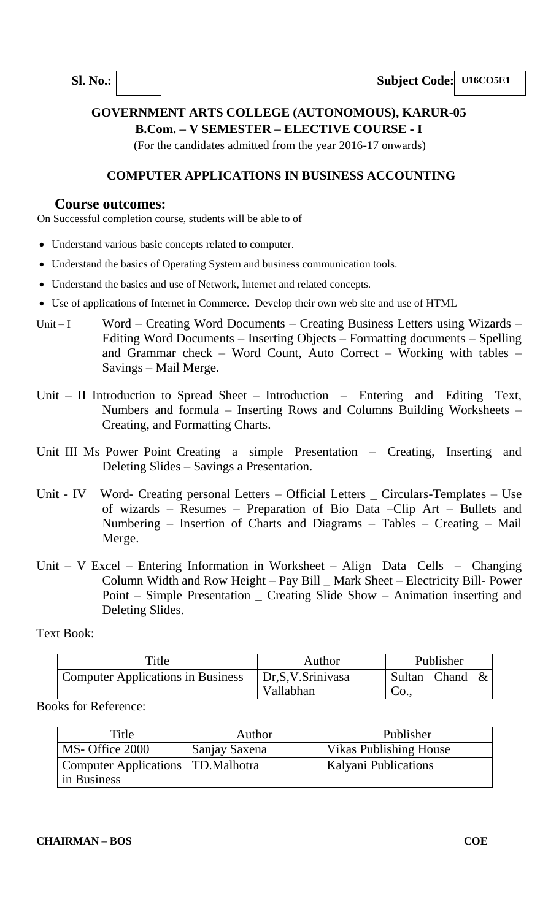**Sl. No.: Subject Code: U16CO5E1**

## **GOVERNMENT ARTS COLLEGE (AUTONOMOUS), KARUR-05 B.Com. – V SEMESTER – ELECTIVE COURSE - I**

(For the candidates admitted from the year 2016-17 onwards)

## **COMPUTER APPLICATIONS IN BUSINESS ACCOUNTING**

## **Course outcomes:**

On Successful completion course, students will be able to of

- Understand various basic concepts related to computer.
- Understand the basics of Operating System and business communication tools.
- Understand the basics and use of Network, Internet and related concepts.
- Use of applications of Internet in Commerce. Develop their own web site and use of HTML
- Unit I Word Creating Word Documents Creating Business Letters using Wizards Editing Word Documents – Inserting Objects – Formatting documents – Spelling and Grammar check – Word Count, Auto Correct – Working with tables – Savings – Mail Merge.
- Unit II Introduction to Spread Sheet Introduction Entering and Editing Text, Numbers and formula – Inserting Rows and Columns Building Worksheets – Creating, and Formatting Charts.
- Unit III Ms Power Point Creating a simple Presentation Creating, Inserting and Deleting Slides – Savings a Presentation.
- Unit IV Word- Creating personal Letters Official Letters \_ Circulars-Templates Use of wizards – Resumes – Preparation of Bio Data –Clip Art – Bullets and Numbering – Insertion of Charts and Diagrams – Tables – Creating – Mail Merge.
- Unit V Excel Entering Information in Worksheet Align Data Cells Changing Column Width and Row Height – Pay Bill \_ Mark Sheet – Electricity Bill- Power Point – Simple Presentation \_ Creating Slide Show – Animation inserting and Deleting Slides.

Text Book:

| Title                               | Author                        |              | Publisher |  |
|-------------------------------------|-------------------------------|--------------|-----------|--|
| ' Computer Applications in Business | Dr.S.V.Srinivasa<br>Vallabhan | Sultan<br>CO | Chand     |  |

Books for Reference:

| Title                                                      | Author        | Publisher                     |
|------------------------------------------------------------|---------------|-------------------------------|
| MS- Office 2000                                            | Sanjay Saxena | <b>Vikas Publishing House</b> |
| <b>Computer Applications</b>   TD. Malhotra<br>in Business |               | <b>Kalyani Publications</b>   |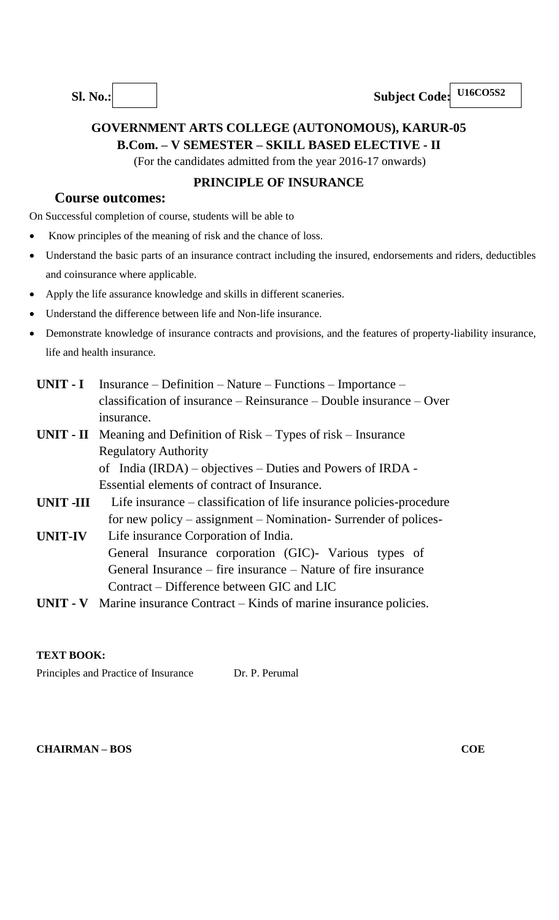

# **GOVERNMENT ARTS COLLEGE (AUTONOMOUS), KARUR-05 B.Com. – V SEMESTER – SKILL BASED ELECTIVE - II**

(For the candidates admitted from the year 2016-17 onwards)

## **PRINCIPLE OF INSURANCE**

## **Course outcomes:**

On Successful completion of course, students will be able to

- Know principles of the meaning of risk and the chance of loss.
- Understand the basic parts of an insurance contract including the insured, endorsements and riders, deductibles and coinsurance where applicable.
- Apply the life assurance knowledge and skills in different scaneries.
- Understand the difference between life and Non-life insurance.
- Demonstrate knowledge of insurance contracts and provisions, and the features of property-liability insurance, life and health insurance.
- **UNIT - I** Insurance Definition Nature Functions Importance classification of insurance – Reinsurance – Double insurance – Over insurance.
- **UNIT - II** Meaning and Definition of Risk Types of risk Insurance Regulatory Authority of India (IRDA) – objectives – Duties and Powers of IRDA -

Essential elements of contract of Insurance.

- **UNIT -III** Life insurance – classification of life insurance policies-procedure for new policy – assignment – Nomination- Surrender of polices-
- **UNIT-IV** Life insurance Corporation of India. General Insurance corporation (GIC)- Various types of General Insurance – fire insurance – Nature of fire insurance Contract – Difference between GIC and LIC
- **UNIT - V** Marine insurance Contract Kinds of marine insurance policies.

## **TEXT BOOK:**

Principles and Practice of Insurance Dr. P. Perumal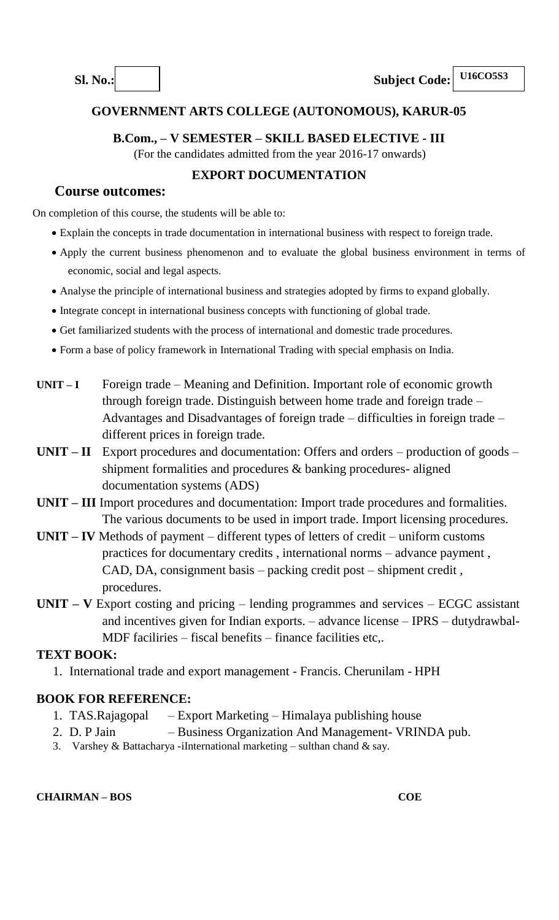## **B.Com., – V SEMESTER – SKILL BASED ELECTIVE - III**

(For the candidates admitted from the year 2016-17 onwards)

## **EXPORT DOCUMENTATION**

## **Course outcomes:**

On completion of this course, the students will be able to:

- Explain the concepts in trade documentation in international business with respect to foreign trade.
- Apply the current business phenomenon and to evaluate the global business environment in terms of economic, social and legal aspects.
- Analyse the principle of international business and strategies adopted by firms to expand globally.
- Integrate concept in international business concepts with functioning of global trade.
- Get familiarized students with the process of international and domestic trade procedures.
- Form a base of policy framework in International Trading with special emphasis on India.
- **UNIT – I** Foreign trade Meaning and Definition. Important role of economic growth through foreign trade. Distinguish between home trade and foreign trade – Advantages and Disadvantages of foreign trade – difficulties in foreign trade – different prices in foreign trade.
- **UNIT – II** Export procedures and documentation: Offers and orders production of goods shipment formalities and procedures & banking procedures- aligned documentation systems (ADS)
- **UNIT – III** Import procedures and documentation: Import trade procedures and formalities. The various documents to be used in import trade. Import licensing procedures.
- **UNIT – IV** Methods of payment different types of letters of credit uniform customs practices for documentary credits , international norms – advance payment , CAD, DA, consignment basis – packing credit post – shipment credit , procedures.
- **UNIT – V** Export costing and pricing lending programmes and services ECGC assistant and incentives given for Indian exports. – advance license – IPRS – dutydrawbal-MDF faciliries – fiscal benefits – finance facilities etc,.

## **TEXT BOOK:**

1. International trade and export management - Francis. Cherunilam - HPH

## **BOOK FOR REFERENCE:**

- 1. TAS.Rajagopal Export Marketing Himalaya publishing house
- 2. D. P Jain Business Organization And Management- VRINDA pub.
- 3. Varshey & Battacharya -iInternational marketing sulthan chand & say.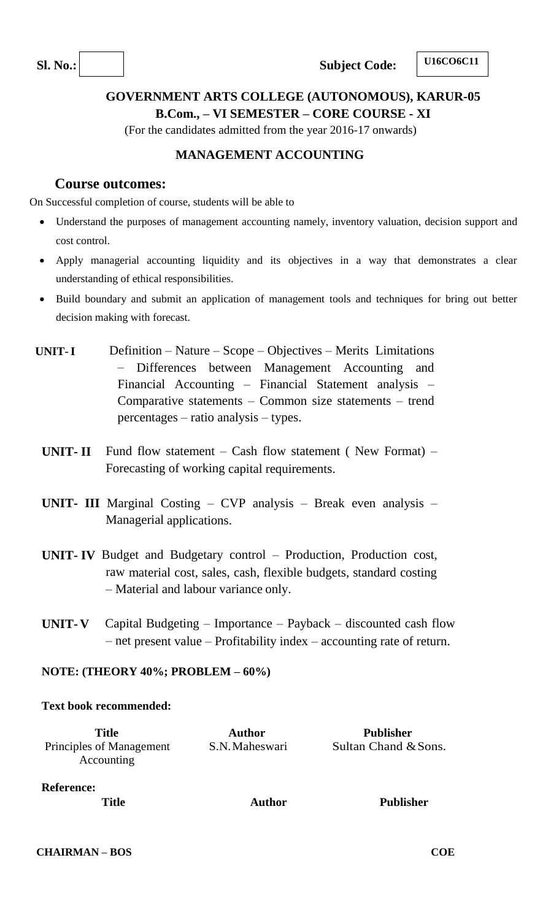**Sl.** No.: **Subject Code:** 

**U16CO6C11**

## **GOVERNMENT ARTS COLLEGE (AUTONOMOUS), KARUR-05 B.Com., – VI SEMESTER – CORE COURSE - XI**

(For the candidates admitted from the year 2016-17 onwards)

## **MANAGEMENT ACCOUNTING**

## **Course outcomes:**

On Successful completion of course, students will be able to

- Understand the purposes of management accounting namely, inventory valuation, decision support and cost control.
- Apply managerial accounting liquidity and its objectives in a way that demonstrates a clear understanding of ethical responsibilities.
- Build boundary and submit an application of management tools and techniques for bring out better decision making with forecast.
- **UNIT-I** Definition Nature Scope Objectives Merits Limitations – Differences between Management Accounting and Financial Accounting – Financial Statement analysis – Comparative statements – Common size statements – trend percentages – ratio analysis – types.
- **UNIT- II** Fund flow statement Cash flow statement ( New Format) Forecasting of working capital requirements.
- **UNIT- III** Marginal Costing CVP analysis Break even analysis Managerial applications.
- **UNIT- IV** Budget and Budgetary control Production, Production cost, raw material cost, sales, cash, flexible budgets, standard costing – Material and labour variance only.
- **UNIT- V** Capital Budgeting Importance Payback discounted cash flow – net present value – Profitability index – accounting rate of return.

#### **NOTE: (THEORY 40%; PROBLEM – 60%)**

#### **Text book recommended:**

| <b>Title</b><br>Principles of Management<br>Accounting | <b>Author</b><br>S.N. Maheswari | <b>Publisher</b><br>Sultan Chand & Sons. |
|--------------------------------------------------------|---------------------------------|------------------------------------------|
| <b>Reference:</b><br><b>Title</b>                      | <b>Author</b>                   | <b>Publisher</b>                         |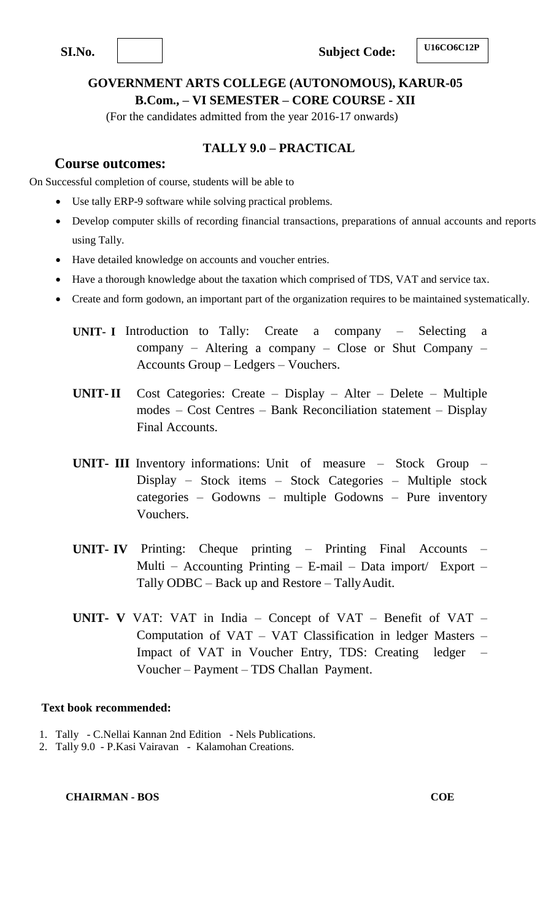**SI.No. Subject Code:** 

## **GOVERNMENT ARTS COLLEGE (AUTONOMOUS), KARUR-05 B.Com., – VI SEMESTER – CORE COURSE - XII**

(For the candidates admitted from the year 2016-17 onwards)

## **TALLY 9.0 – PRACTICAL**

## **Course outcomes:**

On Successful completion of course, students will be able to

- Use tally ERP-9 software while solving practical problems.
- Develop computer skills of recording financial transactions, preparations of annual accounts and reports using Tally.
- Have detailed knowledge on accounts and voucher entries.
- Have a thorough knowledge about the taxation which comprised of TDS, VAT and service tax.
- Create and form godown, an important part of the organization requires to be maintained systematically.
	- **UNIT- I** Introduction to Tally: Create a company Selecting a company – Altering a company – Close or Shut Company – Accounts Group – Ledgers – Vouchers.
	- **UNIT-II** Cost Categories: Create Display Alter Delete Multiple modes – Cost Centres – Bank Reconciliation statement – Display Final Accounts.
	- **UNIT- III** Inventory informations: Unit of measure Stock Group Display – Stock items – Stock Categories – Multiple stock categories – Godowns – multiple Godowns – Pure inventory Vouchers.
	- **UNIT- IV** Printing: Cheque printing Printing Final Accounts Multi – Accounting Printing – E-mail – Data import/ Export – Tally ODBC – Back up and Restore – TallyAudit.
	- **UNIT- V** VAT: VAT in India Concept of VAT Benefit of VAT Computation of VAT – VAT Classification in ledger Masters – Impact of VAT in Voucher Entry, TDS: Creating ledger – Voucher – Payment – TDS Challan Payment.

#### **Text book recommended:**

- 1. Tally C.Nellai Kannan 2nd Edition Nels Publications.
- 2. Tally 9.0 P.Kasi Vairavan Kalamohan Creations.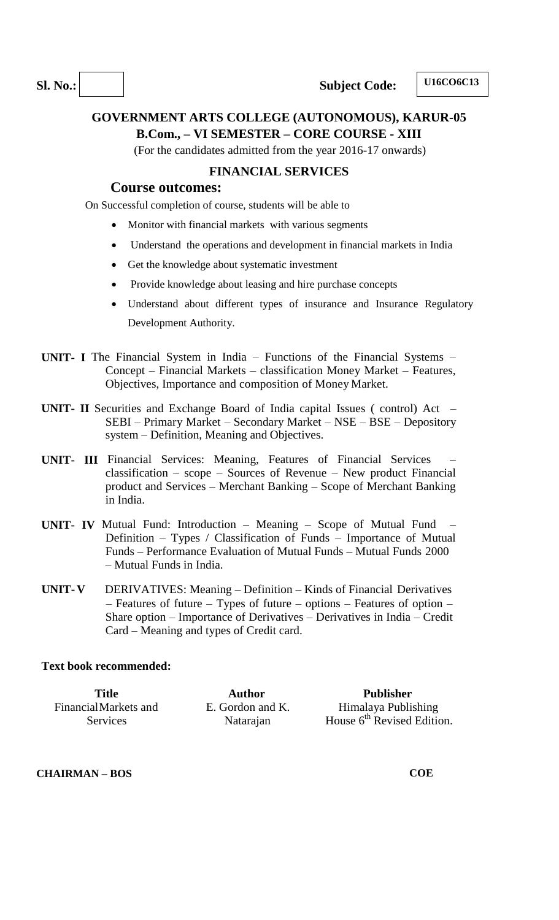## **GOVERNMENT ARTS COLLEGE (AUTONOMOUS), KARUR-05 B.Com., – VI SEMESTER – CORE COURSE - XIII**

(For the candidates admitted from the year 2016-17 onwards)

#### **FINANCIAL SERVICES**

## **Course outcomes:**

On Successful completion of course, students will be able to

- Monitor with financial markets with various segments
- Understand the operations and development in financial markets in India
- Get the knowledge about systematic investment
- Provide knowledge about leasing and hire purchase concepts
- Understand about different types of insurance and Insurance Regulatory Development Authority.
- **UNIT- I** The Financial System in India Functions of the Financial Systems Concept – Financial Markets – classification Money Market – Features, Objectives, Importance and composition of Money Market.
- **UNIT- II** Securities and Exchange Board of India capital Issues ( control) Act SEBI – Primary Market – Secondary Market – NSE – BSE – Depository system – Definition, Meaning and Objectives.
- **UNIT- III** Financial Services: Meaning, Features of Financial Services classification – scope – Sources of Revenue – New product Financial product and Services – Merchant Banking – Scope of Merchant Banking in India.
- **UNIT- IV** Mutual Fund: Introduction Meaning Scope of Mutual Fund Definition – Types / Classification of Funds – Importance of Mutual Funds – Performance Evaluation of Mutual Funds – Mutual Funds 2000 – Mutual Funds in India.
- **UNIT- V** DERIVATIVES: Meaning Definition Kinds of Financial Derivatives – Features of future – Types of future – options – Features of option – Share option – Importance of Derivatives – Derivatives in India – Credit Card – Meaning and types of Credit card.

#### **Text book recommended:**

| Title                | <b>Author</b>    | Publisher                    |
|----------------------|------------------|------------------------------|
| FinancialMarkets and | E. Gordon and K. | Himalaya Publishing          |
| <b>Services</b>      | Natarajan        | House $6th$ Revised Edition. |

#### **CHAIRMAN – BOS**

**COE**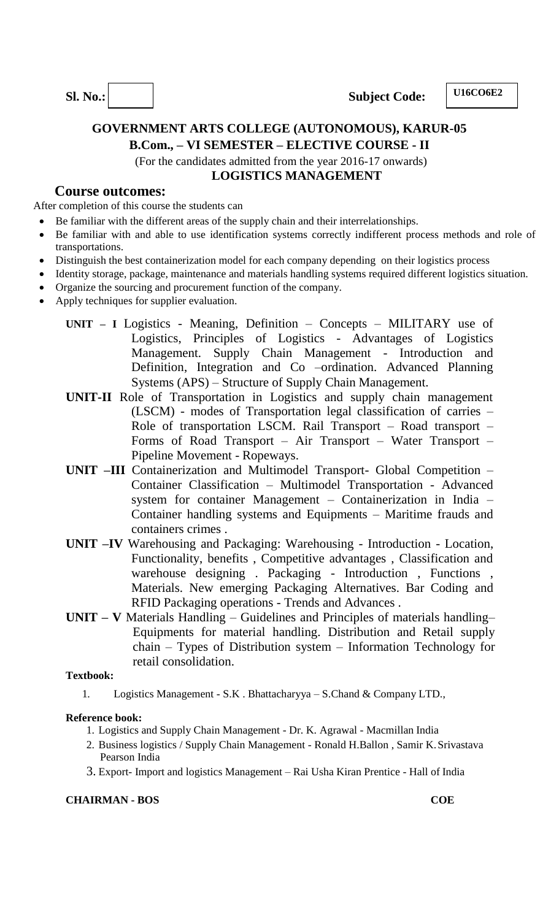**Sl.** No.: **Subject Code:** 

**U16CO6E2**

## **GOVERNMENT ARTS COLLEGE (AUTONOMOUS), KARUR-05 B.Com., – VI SEMESTER – ELECTIVE COURSE - II**

(For the candidates admitted from the year 2016-17 onwards) **LOGISTICS MANAGEMENT**

### **Course outcomes:**

After completion of this course the students can

- Be familiar with the different areas of the supply chain and their interrelationships.
- Be familiar with and able to use identification systems correctly indifferent process methods and role of transportations.
- Distinguish the best containerization model for each company depending on their logistics process
- Identity storage, package, maintenance and materials handling systems required different logistics situation.
- Organize the sourcing and procurement function of the company.
- Apply techniques for supplier evaluation.
	- **UNIT – I** Logistics Meaning, Definition Concepts MILITARY use of Logistics, Principles of Logistics - Advantages of Logistics Management. Supply Chain Management - Introduction and Definition, Integration and Co –ordination. Advanced Planning Systems (APS) – Structure of Supply Chain Management.
	- **UNIT-II** Role of Transportation in Logistics and supply chain management (LSCM) - modes of Transportation legal classification of carries – Role of transportation LSCM. Rail Transport – Road transport – Forms of Road Transport – Air Transport – Water Transport – Pipeline Movement - Ropeways.
	- **UNIT –III** Containerization and Multimodel Transport- Global Competition Container Classification – Multimodel Transportation - Advanced system for container Management – Containerization in India – Container handling systems and Equipments – Maritime frauds and containers crimes .
	- **UNIT –IV** Warehousing and Packaging: Warehousing Introduction Location, Functionality, benefits , Competitive advantages , Classification and warehouse designing . Packaging - Introduction , Functions , Materials. New emerging Packaging Alternatives. Bar Coding and RFID Packaging operations - Trends and Advances .
	- **UNIT – V** Materials Handling Guidelines and Principles of materials handling– Equipments for material handling. Distribution and Retail supply chain – Types of Distribution system – Information Technology for retail consolidation.

#### **Textbook:**

1. Logistics Management - S.K . Bhattacharyya – S.Chand & Company LTD.,

#### **Reference book:**

- 1. Logistics and Supply Chain Management Dr. K. Agrawal Macmillan India
- 2. Business logistics / Supply Chain Management Ronald H.Ballon , Samir K.Srivastava Pearson India
- 3. Export- Import and logistics Management Rai Usha Kiran Prentice Hall of India